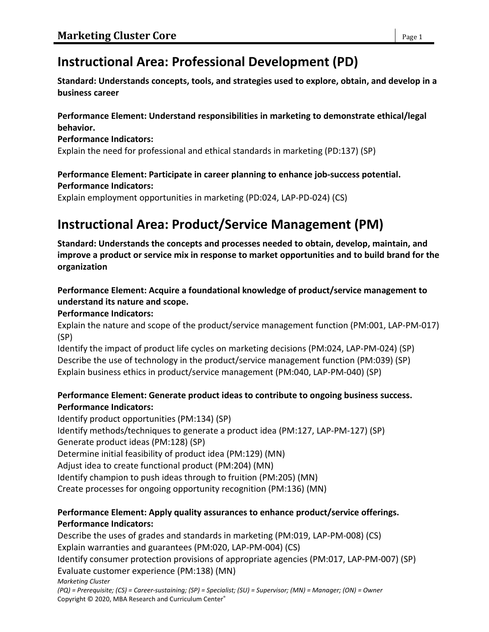# **Instructional Area: Professional Development (PD)**

**Standard: Understands concepts, tools, and strategies used to explore, obtain, and develop in a business career**

#### **Performance Element: Understand responsibilities in marketing to demonstrate ethical/legal behavior.**

#### **Performance Indicators:**

Explain the need for professional and ethical standards in marketing (PD:137) (SP)

# **Performance Element: Participate in career planning to enhance job-success potential.**

#### **Performance Indicators:**

Explain employment opportunities in marketing (PD:024, LAP-PD-024) (CS)

# **Instructional Area: Product/Service Management (PM)**

**Standard: Understands the concepts and processes needed to obtain, develop, maintain, and improve a product or service mix in response to market opportunities and to build brand for the organization**

# **Performance Element: Acquire a foundational knowledge of product/service management to understand its nature and scope.**

#### **Performance Indicators:**

Explain the nature and scope of the product/service management function (PM:001, LAP-PM-017) (SP)

Identify the impact of product life cycles on marketing decisions (PM:024, LAP-PM-024) (SP) Describe the use of technology in the product/service management function (PM:039) (SP) Explain business ethics in product/service management (PM:040, LAP-PM-040) (SP)

### **Performance Element: Generate product ideas to contribute to ongoing business success. Performance Indicators:**

Identify product opportunities (PM:134) (SP) Identify methods/techniques to generate a product idea (PM:127, LAP-PM-127) (SP) Generate product ideas (PM:128) (SP) Determine initial feasibility of product idea (PM:129) (MN) Adjust idea to create functional product (PM:204) (MN) Identify champion to push ideas through to fruition (PM:205) (MN) Create processes for ongoing opportunity recognition (PM:136) (MN)

### **Performance Element: Apply quality assurances to enhance product/service offerings. Performance Indicators:**

*Marketing Cluster (PQ) = Prerequisite; (CS) = Career-sustaining; (SP) = Specialist; (SU) = Supervisor; (MN) = Manager; (ON) = Owner* Describe the uses of grades and standards in marketing (PM:019, LAP-PM-008) (CS) Explain warranties and guarantees (PM:020, LAP-PM-004) (CS) Identify consumer protection provisions of appropriate agencies (PM:017, LAP-PM-007) (SP) Evaluate customer experience (PM:138) (MN)

Copyright © 2020, MBA Research and Curriculum Center®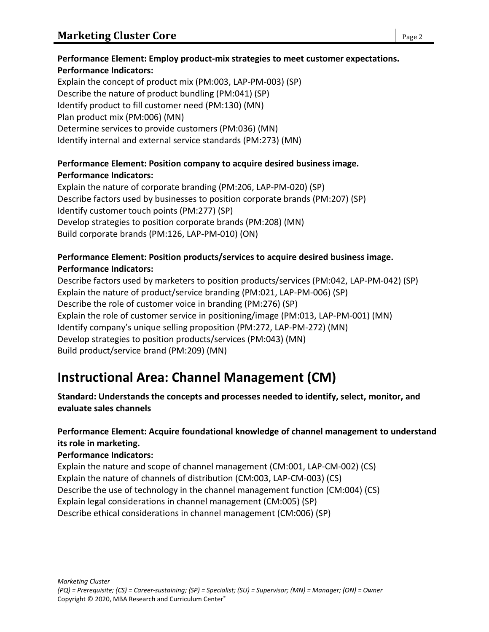# **Performance Element: Employ product-mix strategies to meet customer expectations. Performance Indicators:**

Explain the concept of product mix (PM:003, LAP-PM-003) (SP) Describe the nature of product bundling (PM:041) (SP) Identify product to fill customer need (PM:130) (MN) Plan product mix (PM:006) (MN) Determine services to provide customers (PM:036) (MN) Identify internal and external service standards (PM:273) (MN)

# **Performance Element: Position company to acquire desired business image. Performance Indicators:**

Explain the nature of corporate branding (PM:206, LAP-PM-020) (SP) Describe factors used by businesses to position corporate brands (PM:207) (SP) Identify customer touch points (PM:277) (SP) Develop strategies to position corporate brands (PM:208) (MN) Build corporate brands (PM:126, LAP-PM-010) (ON)

# **Performance Element: Position products/services to acquire desired business image. Performance Indicators:**

Describe factors used by marketers to position products/services (PM:042, LAP-PM-042) (SP) Explain the nature of product/service branding (PM:021, LAP-PM-006) (SP) Describe the role of customer voice in branding (PM:276) (SP) Explain the role of customer service in positioning/image (PM:013, LAP-PM-001) (MN) Identify company's unique selling proposition (PM:272, LAP-PM-272) (MN) Develop strategies to position products/services (PM:043) (MN) Build product/service brand (PM:209) (MN)

# **Instructional Area: Channel Management (CM)**

**Standard: Understands the concepts and processes needed to identify, select, monitor, and evaluate sales channels**

# **Performance Element: Acquire foundational knowledge of channel management to understand its role in marketing.**

### **Performance Indicators:**

Explain the nature and scope of channel management (CM:001, LAP-CM-002) (CS) Explain the nature of channels of distribution (CM:003, LAP-CM-003) (CS) Describe the use of technology in the channel management function (CM:004) (CS) Explain legal considerations in channel management (CM:005) (SP) Describe ethical considerations in channel management (CM:006) (SP)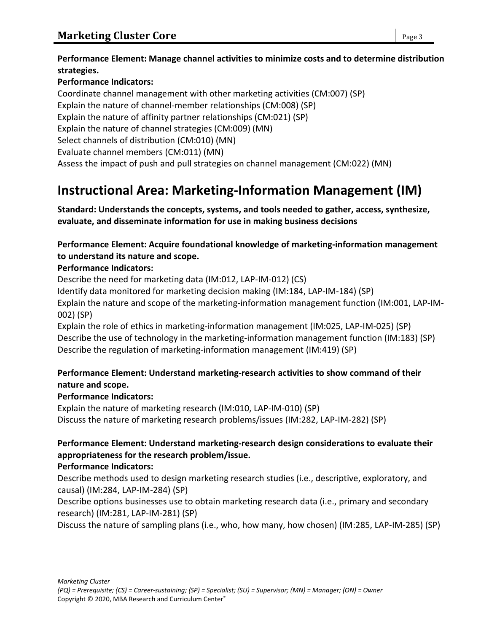#### **Performance Element: Manage channel activities to minimize costs and to determine distribution strategies.**

# **Performance Indicators:**

Coordinate channel management with other marketing activities (CM:007) (SP) Explain the nature of channel-member relationships (CM:008) (SP) Explain the nature of affinity partner relationships (CM:021) (SP) Explain the nature of channel strategies (CM:009) (MN) Select channels of distribution (CM:010) (MN) Evaluate channel members (CM:011) (MN) Assess the impact of push and pull strategies on channel management (CM:022) (MN)

# **Instructional Area: Marketing-Information Management (IM)**

**Standard: Understands the concepts, systems, and tools needed to gather, access, synthesize, evaluate, and disseminate information for use in making business decisions**

### **Performance Element: Acquire foundational knowledge of marketing-information management to understand its nature and scope.**

#### **Performance Indicators:**

Describe the need for marketing data (IM:012, LAP-IM-012) (CS)

Identify data monitored for marketing decision making (IM:184, LAP-IM-184) (SP)

Explain the nature and scope of the marketing-information management function (IM:001, LAP-IM-002) (SP)

Explain the role of ethics in marketing-information management (IM:025, LAP-IM-025) (SP) Describe the use of technology in the marketing-information management function (IM:183) (SP) Describe the regulation of marketing-information management (IM:419) (SP)

### **Performance Element: Understand marketing-research activities to show command of their nature and scope.**

### **Performance Indicators:**

Explain the nature of marketing research (IM:010, LAP-IM-010) (SP) Discuss the nature of marketing research problems/issues (IM:282, LAP-IM-282) (SP)

# **Performance Element: Understand marketing-research design considerations to evaluate their appropriateness for the research problem/issue.**

### **Performance Indicators:**

Describe methods used to design marketing research studies (i.e., descriptive, exploratory, and causal) (IM:284, LAP-IM-284) (SP)

Describe options businesses use to obtain marketing research data (i.e., primary and secondary research) (IM:281, LAP-IM-281) (SP)

Discuss the nature of sampling plans (i.e., who, how many, how chosen) (IM:285, LAP-IM-285) (SP)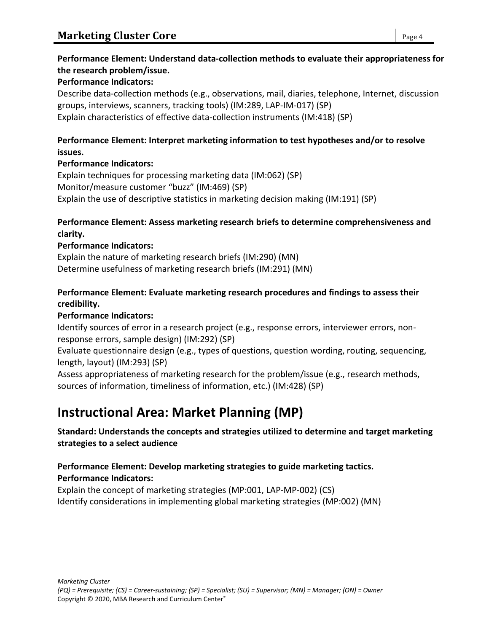# **Performance Element: Understand data-collection methods to evaluate their appropriateness for the research problem/issue.**

#### **Performance Indicators:**

Describe data-collection methods (e.g., observations, mail, diaries, telephone, Internet, discussion groups, interviews, scanners, tracking tools) (IM:289, LAP-IM-017) (SP) Explain characteristics of effective data-collection instruments (IM:418) (SP)

#### **Performance Element: Interpret marketing information to test hypotheses and/or to resolve issues.**

#### **Performance Indicators:**

Explain techniques for processing marketing data (IM:062) (SP) Monitor/measure customer "buzz" (IM:469) (SP) Explain the use of descriptive statistics in marketing decision making (IM:191) (SP)

#### **Performance Element: Assess marketing research briefs to determine comprehensiveness and clarity.**

#### **Performance Indicators:**

Explain the nature of marketing research briefs (IM:290) (MN) Determine usefulness of marketing research briefs (IM:291) (MN)

#### **Performance Element: Evaluate marketing research procedures and findings to assess their credibility.**

#### **Performance Indicators:**

Identify sources of error in a research project (e.g., response errors, interviewer errors, nonresponse errors, sample design) (IM:292) (SP)

Evaluate questionnaire design (e.g., types of questions, question wording, routing, sequencing, length, layout) (IM:293) (SP)

Assess appropriateness of marketing research for the problem/issue (e.g., research methods, sources of information, timeliness of information, etc.) (IM:428) (SP)

# **Instructional Area: Market Planning (MP)**

### **Standard: Understands the concepts and strategies utilized to determine and target marketing strategies to a select audience**

### **Performance Element: Develop marketing strategies to guide marketing tactics. Performance Indicators:**

Explain the concept of marketing strategies (MP:001, LAP-MP-002) (CS) Identify considerations in implementing global marketing strategies (MP:002) (MN)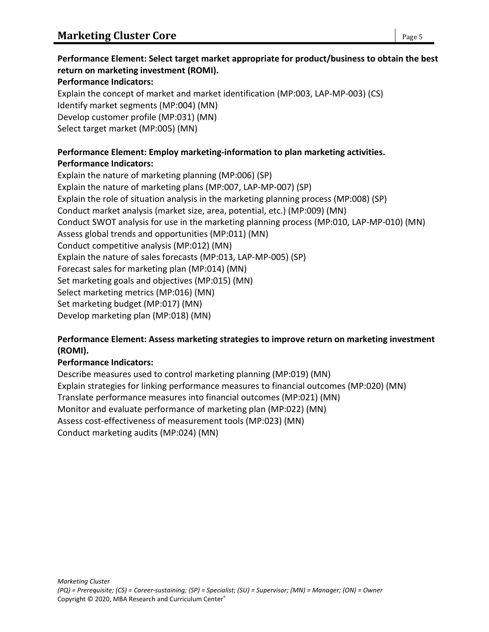# **Performance Element: Select target market appropriate for product/business to obtain the best return on marketing investment (ROMI).**

#### **Performance Indicators:**

Explain the concept of market and market identification (MP:003, LAP-MP-003) (CS) Identify market segments (MP:004) (MN) Develop customer profile (MP:031) (MN) Select target market (MP:005) (MN)

#### **Performance Element: Employ marketing-information to plan marketing activities. Performance Indicators:**

Explain the nature of marketing planning (MP:006) (SP) Explain the nature of marketing plans (MP:007, LAP-MP-007) (SP) Explain the role of situation analysis in the marketing planning process (MP:008) (SP) Conduct market analysis (market size, area, potential, etc.) (MP:009) (MN) Conduct SWOT analysis for use in the marketing planning process (MP:010, LAP-MP-010) (MN) Assess global trends and opportunities (MP:011) (MN) Conduct competitive analysis (MP:012) (MN) Explain the nature of sales forecasts (MP:013, LAP-MP-005) (SP) Forecast sales for marketing plan (MP:014) (MN) Set marketing goals and objectives (MP:015) (MN) Select marketing metrics (MP:016) (MN) Set marketing budget (MP:017) (MN) Develop marketing plan (MP:018) (MN)

#### **Performance Element: Assess marketing strategies to improve return on marketing investment (ROMI).**

#### **Performance Indicators:**

Describe measures used to control marketing planning (MP:019) (MN) Explain strategies for linking performance measures to financial outcomes (MP:020) (MN) Translate performance measures into financial outcomes (MP:021) (MN) Monitor and evaluate performance of marketing plan (MP:022) (MN) Assess cost-effectiveness of measurement tools (MP:023) (MN) Conduct marketing audits (MP:024) (MN)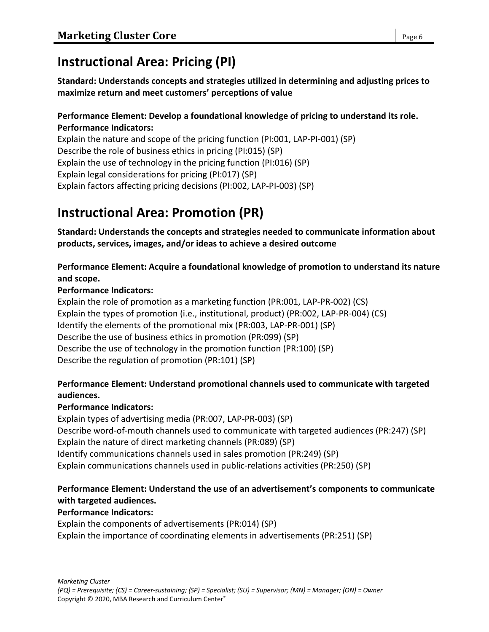# **Instructional Area: Pricing (PI)**

**Standard: Understands concepts and strategies utilized in determining and adjusting prices to maximize return and meet customers' perceptions of value**

#### **Performance Element: Develop a foundational knowledge of pricing to understand its role. Performance Indicators:**

Explain the nature and scope of the pricing function (PI:001, LAP-PI-001) (SP) Describe the role of business ethics in pricing (PI:015) (SP) Explain the use of technology in the pricing function (PI:016) (SP) Explain legal considerations for pricing (PI:017) (SP) Explain factors affecting pricing decisions (PI:002, LAP-PI-003) (SP)

# **Instructional Area: Promotion (PR)**

**Standard: Understands the concepts and strategies needed to communicate information about products, services, images, and/or ideas to achieve a desired outcome**

#### **Performance Element: Acquire a foundational knowledge of promotion to understand its nature and scope.**

#### **Performance Indicators:**

Explain the role of promotion as a marketing function (PR:001, LAP-PR-002) (CS) Explain the types of promotion (i.e., institutional, product) (PR:002, LAP-PR-004) (CS) Identify the elements of the promotional mix (PR:003, LAP-PR-001) (SP) Describe the use of business ethics in promotion (PR:099) (SP) Describe the use of technology in the promotion function (PR:100) (SP) Describe the regulation of promotion (PR:101) (SP)

### **Performance Element: Understand promotional channels used to communicate with targeted audiences.**

### **Performance Indicators:**

Explain types of advertising media (PR:007, LAP-PR-003) (SP) Describe word-of-mouth channels used to communicate with targeted audiences (PR:247) (SP) Explain the nature of direct marketing channels (PR:089) (SP) Identify communications channels used in sales promotion (PR:249) (SP) Explain communications channels used in public-relations activities (PR:250) (SP)

# **Performance Element: Understand the use of an advertisement's components to communicate with targeted audiences.**

#### **Performance Indicators:**

Explain the components of advertisements (PR:014) (SP) Explain the importance of coordinating elements in advertisements (PR:251) (SP)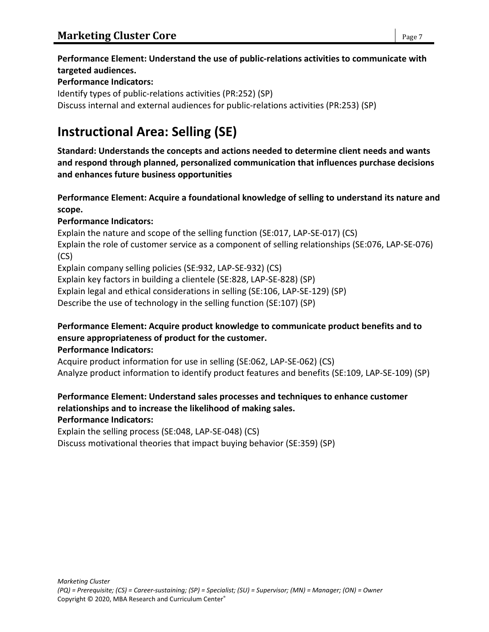#### **Performance Element: Understand the use of public-relations activities to communicate with targeted audiences.**

#### **Performance Indicators:**

Identify types of public-relations activities (PR:252) (SP) Discuss internal and external audiences for public-relations activities (PR:253) (SP)

# **Instructional Area: Selling (SE)**

**Standard: Understands the concepts and actions needed to determine client needs and wants and respond through planned, personalized communication that influences purchase decisions and enhances future business opportunities**

#### **Performance Element: Acquire a foundational knowledge of selling to understand its nature and scope.**

#### **Performance Indicators:**

Explain the nature and scope of the selling function (SE:017, LAP-SE-017) (CS) Explain the role of customer service as a component of selling relationships (SE:076, LAP-SE-076) (CS) Explain company selling policies (SE:932, LAP-SE-932) (CS)

Explain key factors in building a clientele (SE:828, LAP-SE-828) (SP)

Explain legal and ethical considerations in selling (SE:106, LAP-SE-129) (SP)

Describe the use of technology in the selling function (SE:107) (SP)

#### **Performance Element: Acquire product knowledge to communicate product benefits and to ensure appropriateness of product for the customer. Performance Indicators:**

Acquire product information for use in selling (SE:062, LAP-SE-062) (CS) Analyze product information to identify product features and benefits (SE:109, LAP-SE-109) (SP)

# **Performance Element: Understand sales processes and techniques to enhance customer relationships and to increase the likelihood of making sales.**

**Performance Indicators:**

Explain the selling process (SE:048, LAP-SE-048) (CS)

Discuss motivational theories that impact buying behavior (SE:359) (SP)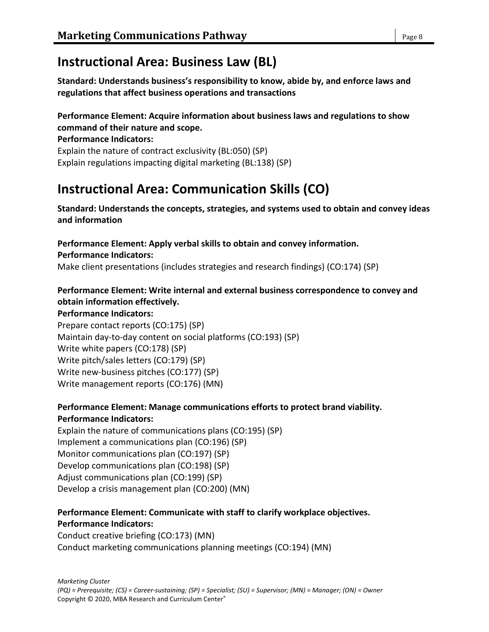# **Instructional Area: Business Law (BL)**

**Standard: Understands business's responsibility to know, abide by, and enforce laws and regulations that affect business operations and transactions**

#### **Performance Element: Acquire information about business laws and regulations to show command of their nature and scope.**

**Performance Indicators:** Explain the nature of contract exclusivity (BL:050) (SP) Explain regulations impacting digital marketing (BL:138) (SP)

# **Instructional Area: Communication Skills (CO)**

**Standard: Understands the concepts, strategies, and systems used to obtain and convey ideas and information**

**Performance Element: Apply verbal skills to obtain and convey information. Performance Indicators:**

Make client presentations (includes strategies and research findings) (CO:174) (SP)

# **Performance Element: Write internal and external business correspondence to convey and obtain information effectively.**

#### **Performance Indicators:**

Prepare contact reports (CO:175) (SP) Maintain day-to-day content on social platforms (CO:193) (SP) Write white papers (CO:178) (SP) Write pitch/sales letters (CO:179) (SP) Write new-business pitches (CO:177) (SP) Write management reports (CO:176) (MN)

# **Performance Element: Manage communications efforts to protect brand viability. Performance Indicators:**

Explain the nature of communications plans (CO:195) (SP) Implement a communications plan (CO:196) (SP) Monitor communications plan (CO:197) (SP) Develop communications plan (CO:198) (SP) Adjust communications plan (CO:199) (SP) Develop a crisis management plan (CO:200) (MN)

#### **Performance Element: Communicate with staff to clarify workplace objectives. Performance Indicators:**

Conduct creative briefing (CO:173) (MN) Conduct marketing communications planning meetings (CO:194) (MN)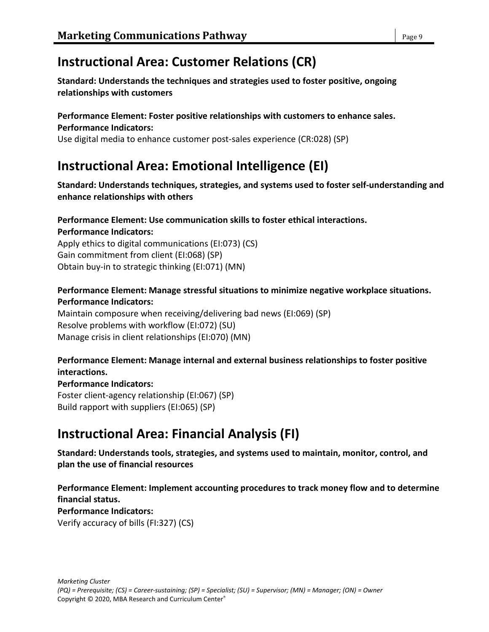# **Instructional Area: Customer Relations (CR)**

**Standard: Understands the techniques and strategies used to foster positive, ongoing relationships with customers**

#### **Performance Element: Foster positive relationships with customers to enhance sales. Performance Indicators:**

Use digital media to enhance customer post-sales experience (CR:028) (SP)

# **Instructional Area: Emotional Intelligence (EI)**

**Standard: Understands techniques, strategies, and systems used to foster self-understanding and enhance relationships with others**

#### **Performance Element: Use communication skills to foster ethical interactions. Performance Indicators:**

Apply ethics to digital communications (EI:073) (CS) Gain commitment from client (EI:068) (SP) Obtain buy-in to strategic thinking (EI:071) (MN)

# **Performance Element: Manage stressful situations to minimize negative workplace situations. Performance Indicators:**

Maintain composure when receiving/delivering bad news (EI:069) (SP) Resolve problems with workflow (EI:072) (SU) Manage crisis in client relationships (EI:070) (MN)

### **Performance Element: Manage internal and external business relationships to foster positive interactions.**

**Performance Indicators:** Foster client-agency relationship (EI:067) (SP) Build rapport with suppliers (EI:065) (SP)

# **Instructional Area: Financial Analysis (FI)**

**Standard: Understands tools, strategies, and systems used to maintain, monitor, control, and plan the use of financial resources**

**Performance Element: Implement accounting procedures to track money flow and to determine financial status. Performance Indicators:** Verify accuracy of bills (FI:327) (CS)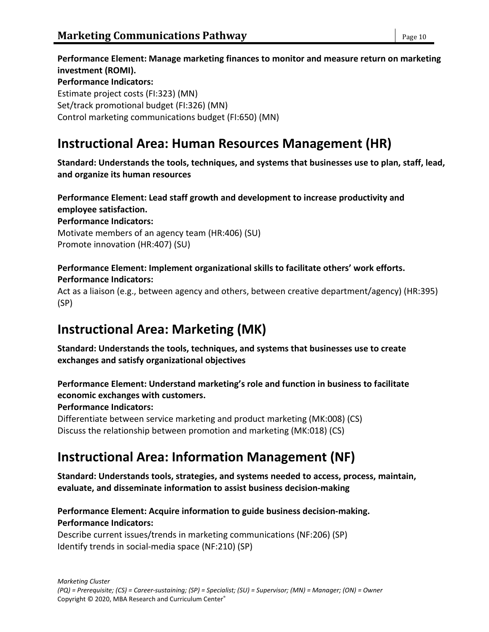**Performance Element: Manage marketing finances to monitor and measure return on marketing investment (ROMI). Performance Indicators:** Estimate project costs (FI:323) (MN) Set/track promotional budget (FI:326) (MN) Control marketing communications budget (FI:650) (MN)

# **Instructional Area: Human Resources Management (HR)**

**Standard: Understands the tools, techniques, and systems that businesses use to plan, staff, lead, and organize its human resources**

**Performance Element: Lead staff growth and development to increase productivity and employee satisfaction. Performance Indicators:** Motivate members of an agency team (HR:406) (SU) Promote innovation (HR:407) (SU)

#### **Performance Element: Implement organizational skills to facilitate others' work efforts. Performance Indicators:**

Act as a liaison (e.g., between agency and others, between creative department/agency) (HR:395) (SP)

# **Instructional Area: Marketing (MK)**

**Standard: Understands the tools, techniques, and systems that businesses use to create exchanges and satisfy organizational objectives**

### **Performance Element: Understand marketing's role and function in business to facilitate economic exchanges with customers.**

**Performance Indicators:**

Differentiate between service marketing and product marketing (MK:008) (CS) Discuss the relationship between promotion and marketing (MK:018) (CS)

# **Instructional Area: Information Management (NF)**

**Standard: Understands tools, strategies, and systems needed to access, process, maintain, evaluate, and disseminate information to assist business decision-making**

# **Performance Element: Acquire information to guide business decision-making. Performance Indicators:**

Describe current issues/trends in marketing communications (NF:206) (SP) Identify trends in social-media space (NF:210) (SP)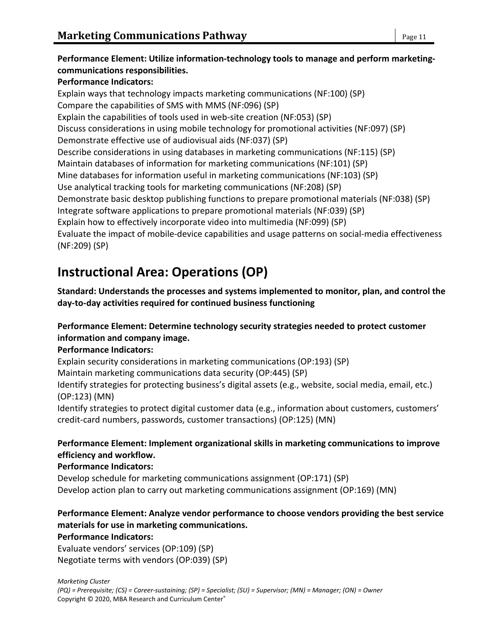# **Performance Element: Utilize information-technology tools to manage and perform marketingcommunications responsibilities.**

# **Performance Indicators:**

Explain ways that technology impacts marketing communications (NF:100) (SP) Compare the capabilities of SMS with MMS (NF:096) (SP) Explain the capabilities of tools used in web-site creation (NF:053) (SP) Discuss considerations in using mobile technology for promotional activities (NF:097) (SP) Demonstrate effective use of audiovisual aids (NF:037) (SP) Describe considerations in using databases in marketing communications (NF:115) (SP) Maintain databases of information for marketing communications (NF:101) (SP) Mine databases for information useful in marketing communications (NF:103) (SP) Use analytical tracking tools for marketing communications (NF:208) (SP) Demonstrate basic desktop publishing functions to prepare promotional materials (NF:038) (SP) Integrate software applications to prepare promotional materials (NF:039) (SP) Explain how to effectively incorporate video into multimedia (NF:099) (SP) Evaluate the impact of mobile-device capabilities and usage patterns on social-media effectiveness (NF:209) (SP)

# **Instructional Area: Operations (OP)**

**Standard: Understands the processes and systems implemented to monitor, plan, and control the day-to-day activities required for continued business functioning**

# **Performance Element: Determine technology security strategies needed to protect customer information and company image.**

### **Performance Indicators:**

Explain security considerations in marketing communications (OP:193) (SP)

Maintain marketing communications data security (OP:445) (SP)

Identify strategies for protecting business's digital assets (e.g., website, social media, email, etc.) (OP:123) (MN)

Identify strategies to protect digital customer data (e.g., information about customers, customers' credit-card numbers, passwords, customer transactions) (OP:125) (MN)

### **Performance Element: Implement organizational skills in marketing communications to improve efficiency and workflow.**

### **Performance Indicators:**

Develop schedule for marketing communications assignment (OP:171) (SP) Develop action plan to carry out marketing communications assignment (OP:169) (MN)

# **Performance Element: Analyze vendor performance to choose vendors providing the best service materials for use in marketing communications.**

#### **Performance Indicators:**

Evaluate vendors' services (OP:109) (SP) Negotiate terms with vendors (OP:039) (SP)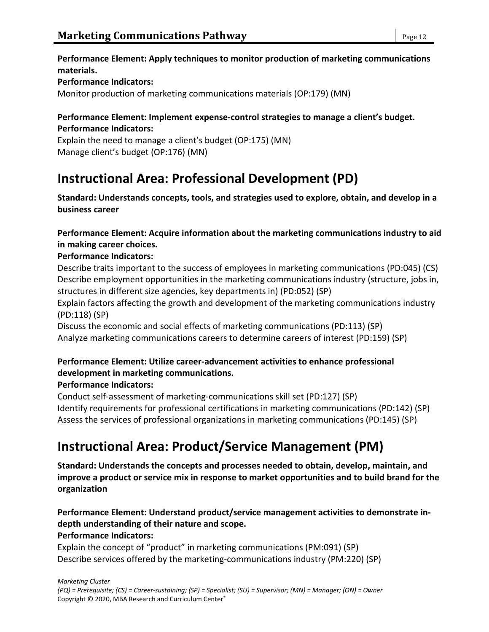#### **Performance Element: Apply techniques to monitor production of marketing communications materials.**

#### **Performance Indicators:**

Monitor production of marketing communications materials (OP:179) (MN)

#### **Performance Element: Implement expense-control strategies to manage a client's budget. Performance Indicators:**

Explain the need to manage a client's budget (OP:175) (MN) Manage client's budget (OP:176) (MN)

# **Instructional Area: Professional Development (PD)**

**Standard: Understands concepts, tools, and strategies used to explore, obtain, and develop in a business career**

#### **Performance Element: Acquire information about the marketing communications industry to aid in making career choices.**

#### **Performance Indicators:**

Describe traits important to the success of employees in marketing communications (PD:045) (CS) Describe employment opportunities in the marketing communications industry (structure, jobs in, structures in different size agencies, key departments in) (PD:052) (SP)

Explain factors affecting the growth and development of the marketing communications industry (PD:118) (SP)

Discuss the economic and social effects of marketing communications (PD:113) (SP) Analyze marketing communications careers to determine careers of interest (PD:159) (SP)

# **Performance Element: Utilize career-advancement activities to enhance professional development in marketing communications.**

#### **Performance Indicators:**

Conduct self-assessment of marketing-communications skill set (PD:127) (SP) Identify requirements for professional certifications in marketing communications (PD:142) (SP) Assess the services of professional organizations in marketing communications (PD:145) (SP)

# **Instructional Area: Product/Service Management (PM)**

**Standard: Understands the concepts and processes needed to obtain, develop, maintain, and improve a product or service mix in response to market opportunities and to build brand for the organization**

#### **Performance Element: Understand product/service management activities to demonstrate indepth understanding of their nature and scope. Performance Indicators:**

Explain the concept of "product" in marketing communications (PM:091) (SP) Describe services offered by the marketing-communications industry (PM:220) (SP)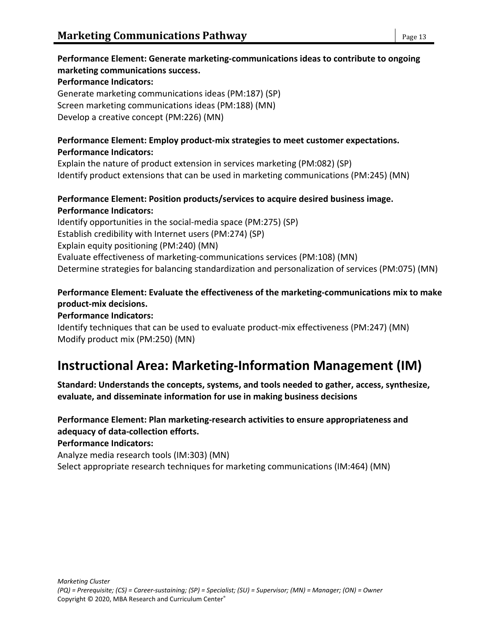# **Performance Element: Generate marketing-communications ideas to contribute to ongoing marketing communications success.**

#### **Performance Indicators:**

Generate marketing communications ideas (PM:187) (SP) Screen marketing communications ideas (PM:188) (MN) Develop a creative concept (PM:226) (MN)

#### **Performance Element: Employ product-mix strategies to meet customer expectations. Performance Indicators:**

Explain the nature of product extension in services marketing (PM:082) (SP) Identify product extensions that can be used in marketing communications (PM:245) (MN)

#### **Performance Element: Position products/services to acquire desired business image. Performance Indicators:**

Identify opportunities in the social-media space (PM:275) (SP) Establish credibility with Internet users (PM:274) (SP) Explain equity positioning (PM:240) (MN) Evaluate effectiveness of marketing-communications services (PM:108) (MN) Determine strategies for balancing standardization and personalization of services (PM:075) (MN)

### **Performance Element: Evaluate the effectiveness of the marketing-communications mix to make product-mix decisions.**

#### **Performance Indicators:**

Identify techniques that can be used to evaluate product-mix effectiveness (PM:247) (MN) Modify product mix (PM:250) (MN)

# **Instructional Area: Marketing-Information Management (IM)**

**Standard: Understands the concepts, systems, and tools needed to gather, access, synthesize, evaluate, and disseminate information for use in making business decisions**

### **Performance Element: Plan marketing-research activities to ensure appropriateness and adequacy of data-collection efforts.**

**Performance Indicators:**

Analyze media research tools (IM:303) (MN)

Select appropriate research techniques for marketing communications (IM:464) (MN)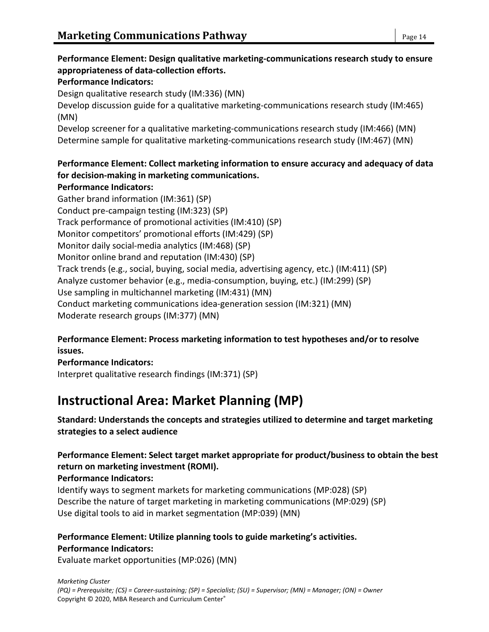# **Performance Element: Design qualitative marketing-communications research study to ensure appropriateness of data-collection efforts.**

#### **Performance Indicators:**

Design qualitative research study (IM:336) (MN)

Develop discussion guide for a qualitative marketing-communications research study (IM:465) (MN)

Develop screener for a qualitative marketing-communications research study (IM:466) (MN) Determine sample for qualitative marketing-communications research study (IM:467) (MN)

### **Performance Element: Collect marketing information to ensure accuracy and adequacy of data for decision-making in marketing communications.**

#### **Performance Indicators:**

Gather brand information (IM:361) (SP) Conduct pre-campaign testing (IM:323) (SP) Track performance of promotional activities (IM:410) (SP) Monitor competitors' promotional efforts (IM:429) (SP) Monitor daily social-media analytics (IM:468) (SP) Monitor online brand and reputation (IM:430) (SP) Track trends (e.g., social, buying, social media, advertising agency, etc.) (IM:411) (SP) Analyze customer behavior (e.g., media-consumption, buying, etc.) (IM:299) (SP) Use sampling in multichannel marketing (IM:431) (MN) Conduct marketing communications idea-generation session (IM:321) (MN) Moderate research groups (IM:377) (MN)

#### **Performance Element: Process marketing information to test hypotheses and/or to resolve issues.**

**Performance Indicators:** Interpret qualitative research findings (IM:371) (SP)

# **Instructional Area: Market Planning (MP)**

#### **Standard: Understands the concepts and strategies utilized to determine and target marketing strategies to a select audience**

# **Performance Element: Select target market appropriate for product/business to obtain the best return on marketing investment (ROMI).**

#### **Performance Indicators:**

Identify ways to segment markets for marketing communications (MP:028) (SP) Describe the nature of target marketing in marketing communications (MP:029) (SP) Use digital tools to aid in market segmentation (MP:039) (MN)

### **Performance Element: Utilize planning tools to guide marketing's activities. Performance Indicators:**

Evaluate market opportunities (MP:026) (MN)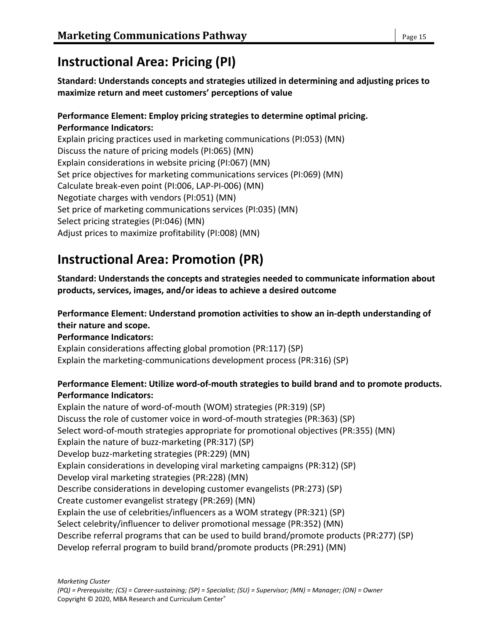# **Instructional Area: Pricing (PI)**

# **Standard: Understands concepts and strategies utilized in determining and adjusting prices to maximize return and meet customers' perceptions of value**

#### **Performance Element: Employ pricing strategies to determine optimal pricing. Performance Indicators:**

Explain pricing practices used in marketing communications (PI:053) (MN) Discuss the nature of pricing models (PI:065) (MN) Explain considerations in website pricing (PI:067) (MN) Set price objectives for marketing communications services (PI:069) (MN) Calculate break-even point (PI:006, LAP-PI-006) (MN) Negotiate charges with vendors (PI:051) (MN) Set price of marketing communications services (PI:035) (MN) Select pricing strategies (PI:046) (MN) Adjust prices to maximize profitability (PI:008) (MN)

# **Instructional Area: Promotion (PR)**

**Standard: Understands the concepts and strategies needed to communicate information about products, services, images, and/or ideas to achieve a desired outcome**

# **Performance Element: Understand promotion activities to show an in-depth understanding of their nature and scope.**

### **Performance Indicators:**

Explain considerations affecting global promotion (PR:117) (SP) Explain the marketing-communications development process (PR:316) (SP)

# **Performance Element: Utilize word-of-mouth strategies to build brand and to promote products. Performance Indicators:**

Explain the nature of word-of-mouth (WOM) strategies (PR:319) (SP) Discuss the role of customer voice in word-of-mouth strategies (PR:363) (SP) Select word-of-mouth strategies appropriate for promotional objectives (PR:355) (MN) Explain the nature of buzz-marketing (PR:317) (SP) Develop buzz-marketing strategies (PR:229) (MN) Explain considerations in developing viral marketing campaigns (PR:312) (SP) Develop viral marketing strategies (PR:228) (MN) Describe considerations in developing customer evangelists (PR:273) (SP) Create customer evangelist strategy (PR:269) (MN) Explain the use of celebrities/influencers as a WOM strategy (PR:321) (SP) Select celebrity/influencer to deliver promotional message (PR:352) (MN) Describe referral programs that can be used to build brand/promote products (PR:277) (SP) Develop referral program to build brand/promote products (PR:291) (MN)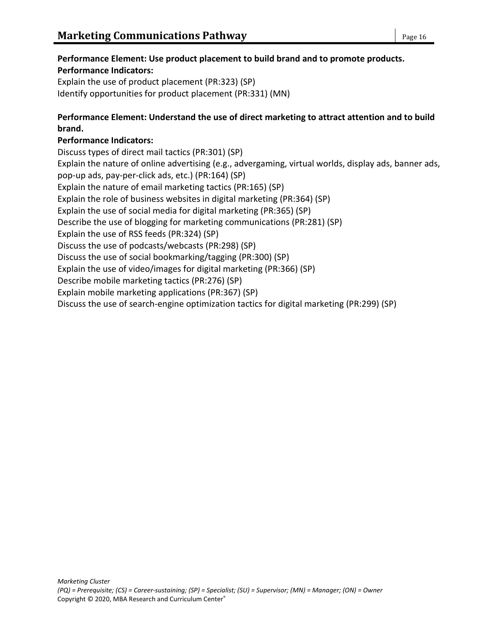# **Performance Element: Use product placement to build brand and to promote products. Performance Indicators:**

Explain the use of product placement (PR:323) (SP) Identify opportunities for product placement (PR:331) (MN)

# **Performance Element: Understand the use of direct marketing to attract attention and to build brand.**

# **Performance Indicators:**

Discuss types of direct mail tactics (PR:301) (SP) Explain the nature of online advertising (e.g., advergaming, virtual worlds, display ads, banner ads, pop-up ads, pay-per-click ads, etc.) (PR:164) (SP) Explain the nature of email marketing tactics (PR:165) (SP) Explain the role of business websites in digital marketing (PR:364) (SP) Explain the use of social media for digital marketing (PR:365) (SP) Describe the use of blogging for marketing communications (PR:281) (SP) Explain the use of RSS feeds (PR:324) (SP) Discuss the use of podcasts/webcasts (PR:298) (SP) Discuss the use of social bookmarking/tagging (PR:300) (SP) Explain the use of video/images for digital marketing (PR:366) (SP) Describe mobile marketing tactics (PR:276) (SP) Explain mobile marketing applications (PR:367) (SP) Discuss the use of search-engine optimization tactics for digital marketing (PR:299) (SP)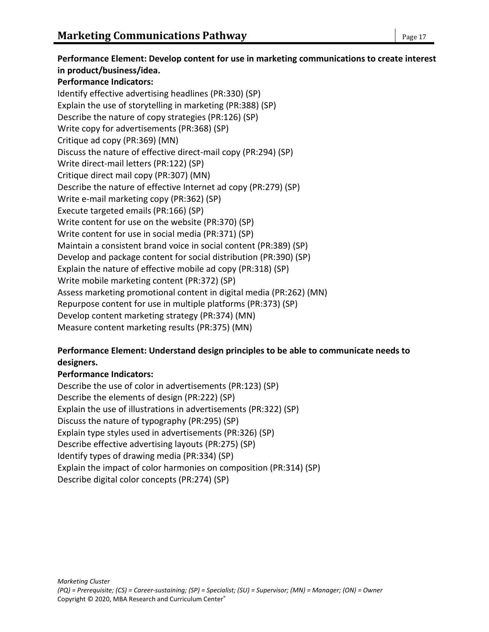**Performance Element: Develop content for use in marketing communications to create interest in product/business/idea. Performance Indicators:** Identify effective advertising headlines (PR:330) (SP) Explain the use of storytelling in marketing (PR:388) (SP) Describe the nature of copy strategies (PR:126) (SP) Write copy for advertisements (PR:368) (SP) Critique ad copy (PR:369) (MN) Discuss the nature of effective direct-mail copy (PR:294) (SP) Write direct-mail letters (PR:122) (SP) Critique direct mail copy (PR:307) (MN) Describe the nature of effective Internet ad copy (PR:279) (SP) Write e-mail marketing copy (PR:362) (SP) Execute targeted emails (PR:166) (SP) Write content for use on the website (PR:370) (SP) Write content for use in social media (PR:371) (SP) Maintain a consistent brand voice in social content (PR:389) (SP) Develop and package content for social distribution (PR:390) (SP) Explain the nature of effective mobile ad copy (PR:318) (SP) Write mobile marketing content (PR:372) (SP) Assess marketing promotional content in digital media (PR:262) (MN) Repurpose content for use in multiple platforms (PR:373) (SP) Develop content marketing strategy (PR:374) (MN) Measure content marketing results (PR:375) (MN)

#### **Performance Element: Understand design principles to be able to communicate needs to designers.**

### **Performance Indicators:**

Describe the use of color in advertisements (PR:123) (SP) Describe the elements of design (PR:222) (SP) Explain the use of illustrations in advertisements (PR:322) (SP) Discuss the nature of typography (PR:295) (SP) Explain type styles used in advertisements (PR:326) (SP) Describe effective advertising layouts (PR:275) (SP) Identify types of drawing media (PR:334) (SP) Explain the impact of color harmonies on composition (PR:314) (SP) Describe digital color concepts (PR:274) (SP)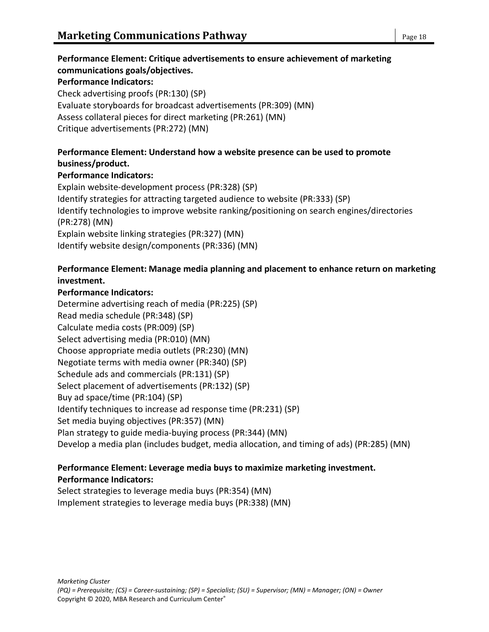# **Performance Element: Critique advertisements to ensure achievement of marketing communications goals/objectives.**

#### **Performance Indicators:**

Check advertising proofs (PR:130) (SP) Evaluate storyboards for broadcast advertisements (PR:309) (MN) Assess collateral pieces for direct marketing (PR:261) (MN) Critique advertisements (PR:272) (MN)

#### **Performance Element: Understand how a website presence can be used to promote business/product.**

#### **Performance Indicators:**

Explain website-development process (PR:328) (SP) Identify strategies for attracting targeted audience to website (PR:333) (SP) Identify technologies to improve website ranking/positioning on search engines/directories (PR:278) (MN) Explain website linking strategies (PR:327) (MN) Identify website design/components (PR:336) (MN)

#### **Performance Element: Manage media planning and placement to enhance return on marketing investment.**

#### **Performance Indicators:**

Determine advertising reach of media (PR:225) (SP) Read media schedule (PR:348) (SP) Calculate media costs (PR:009) (SP) Select advertising media (PR:010) (MN) Choose appropriate media outlets (PR:230) (MN) Negotiate terms with media owner (PR:340) (SP) Schedule ads and commercials (PR:131) (SP) Select placement of advertisements (PR:132) (SP) Buy ad space/time (PR:104) (SP) Identify techniques to increase ad response time (PR:231) (SP) Set media buying objectives (PR:357) (MN) Plan strategy to guide media-buying process (PR:344) (MN) Develop a media plan (includes budget, media allocation, and timing of ads) (PR:285) (MN)

#### **Performance Element: Leverage media buys to maximize marketing investment. Performance Indicators:**

Select strategies to leverage media buys (PR:354) (MN) Implement strategies to leverage media buys (PR:338) (MN)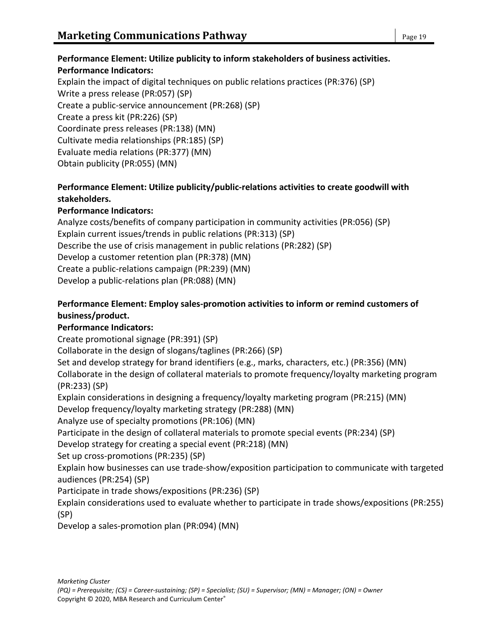# **Performance Element: Utilize publicity to inform stakeholders of business activities. Performance Indicators:**

Explain the impact of digital techniques on public relations practices (PR:376) (SP) Write a press release (PR:057) (SP) Create a public-service announcement (PR:268) (SP) Create a press kit (PR:226) (SP) Coordinate press releases (PR:138) (MN) Cultivate media relationships (PR:185) (SP) Evaluate media relations (PR:377) (MN) Obtain publicity (PR:055) (MN)

### **Performance Element: Utilize publicity/public-relations activities to create goodwill with stakeholders.**

### **Performance Indicators:**

Analyze costs/benefits of company participation in community activities (PR:056) (SP) Explain current issues/trends in public relations (PR:313) (SP) Describe the use of crisis management in public relations (PR:282) (SP) Develop a customer retention plan (PR:378) (MN) Create a public-relations campaign (PR:239) (MN) Develop a public-relations plan (PR:088) (MN)

### **Performance Element: Employ sales-promotion activities to inform or remind customers of business/product.**

### **Performance Indicators:**

Create promotional signage (PR:391) (SP)

Collaborate in the design of slogans/taglines (PR:266) (SP)

Set and develop strategy for brand identifiers (e.g., marks, characters, etc.) (PR:356) (MN)

Collaborate in the design of collateral materials to promote frequency/loyalty marketing program (PR:233) (SP)

Explain considerations in designing a frequency/loyalty marketing program (PR:215) (MN)

Develop frequency/loyalty marketing strategy (PR:288) (MN)

Analyze use of specialty promotions (PR:106) (MN)

Participate in the design of collateral materials to promote special events (PR:234) (SP)

Develop strategy for creating a special event (PR:218) (MN)

Set up cross-promotions (PR:235) (SP)

Explain how businesses can use trade-show/exposition participation to communicate with targeted audiences (PR:254) (SP)

Participate in trade shows/expositions (PR:236) (SP)

Explain considerations used to evaluate whether to participate in trade shows/expositions (PR:255) (SP)

Develop a sales-promotion plan (PR:094) (MN)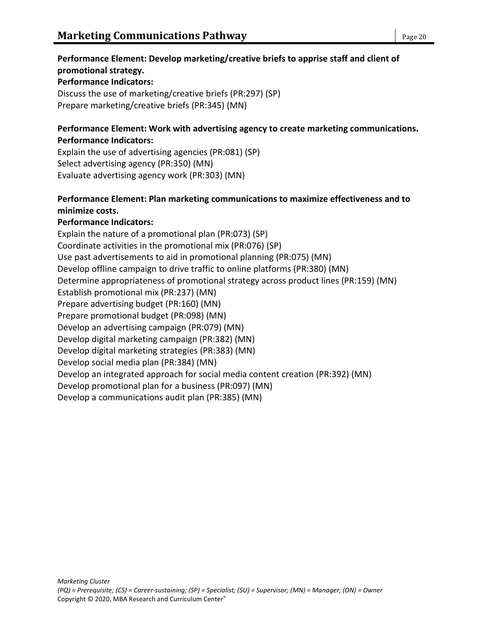# **Performance Element: Develop marketing/creative briefs to apprise staff and client of promotional strategy. Performance Indicators:**

Discuss the use of marketing/creative briefs (PR:297) (SP) Prepare marketing/creative briefs (PR:345) (MN)

#### **Performance Element: Work with advertising agency to create marketing communications. Performance Indicators:**

Explain the use of advertising agencies (PR:081) (SP) Select advertising agency (PR:350) (MN) Evaluate advertising agency work (PR:303) (MN)

### **Performance Element: Plan marketing communications to maximize effectiveness and to minimize costs.**

#### **Performance Indicators:**

Explain the nature of a promotional plan (PR:073) (SP) Coordinate activities in the promotional mix (PR:076) (SP) Use past advertisements to aid in promotional planning (PR:075) (MN) Develop offline campaign to drive traffic to online platforms (PR:380) (MN) Determine appropriateness of promotional strategy across product lines (PR:159) (MN) Establish promotional mix (PR:237) (MN) Prepare advertising budget (PR:160) (MN) Prepare promotional budget (PR:098) (MN) Develop an advertising campaign (PR:079) (MN) Develop digital marketing campaign (PR:382) (MN) Develop digital marketing strategies (PR:383) (MN) Develop social media plan (PR:384) (MN) Develop an integrated approach for social media content creation (PR:392) (MN) Develop promotional plan for a business (PR:097) (MN) Develop a communications audit plan (PR:385) (MN)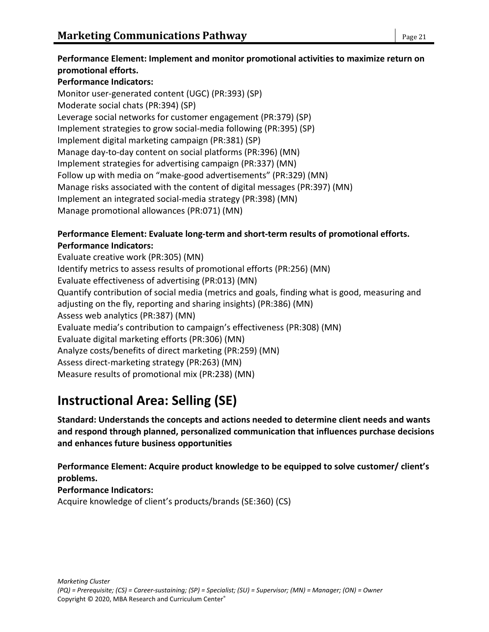# **Performance Indicators:**

Monitor user-generated content (UGC) (PR:393) (SP) Moderate social chats (PR:394) (SP) Leverage social networks for customer engagement (PR:379) (SP) Implement strategies to grow social-media following (PR:395) (SP) Implement digital marketing campaign (PR:381) (SP) Manage day-to-day content on social platforms (PR:396) (MN) Implement strategies for advertising campaign (PR:337) (MN) Follow up with media on "make-good advertisements" (PR:329) (MN) Manage risks associated with the content of digital messages (PR:397) (MN) Implement an integrated social-media strategy (PR:398) (MN) Manage promotional allowances (PR:071) (MN)

#### **Performance Element: Evaluate long-term and short-term results of promotional efforts. Performance Indicators:**

Evaluate creative work (PR:305) (MN) Identify metrics to assess results of promotional efforts (PR:256) (MN) Evaluate effectiveness of advertising (PR:013) (MN) Quantify contribution of social media (metrics and goals, finding what is good, measuring and adjusting on the fly, reporting and sharing insights) (PR:386) (MN) Assess web analytics (PR:387) (MN) Evaluate media's contribution to campaign's effectiveness (PR:308) (MN) Evaluate digital marketing efforts (PR:306) (MN) Analyze costs/benefits of direct marketing (PR:259) (MN) Assess direct-marketing strategy (PR:263) (MN) Measure results of promotional mix (PR:238) (MN)

# **Instructional Area: Selling (SE)**

**Standard: Understands the concepts and actions needed to determine client needs and wants and respond through planned, personalized communication that influences purchase decisions and enhances future business opportunities**

**Performance Element: Acquire product knowledge to be equipped to solve customer/ client's problems.**

# **Performance Indicators:** Acquire knowledge of client's products/brands (SE:360) (CS)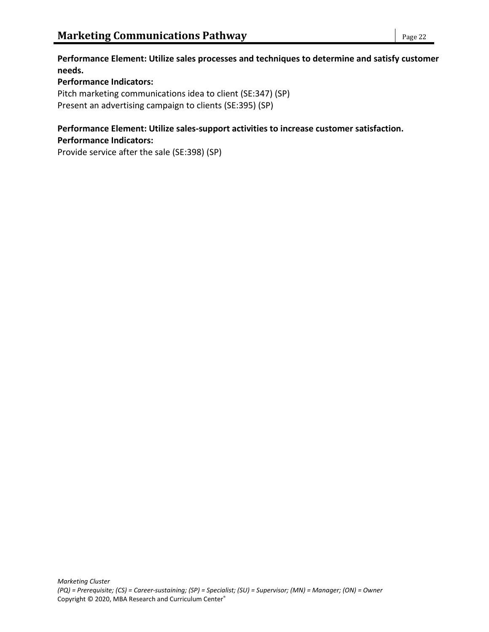**Performance Element: Utilize sales processes and techniques to determine and satisfy customer needs.**

#### **Performance Indicators:**

Pitch marketing communications idea to client (SE:347) (SP) Present an advertising campaign to clients (SE:395) (SP)

#### **Performance Element: Utilize sales-support activities to increase customer satisfaction. Performance Indicators:**

Provide service after the sale (SE:398) (SP)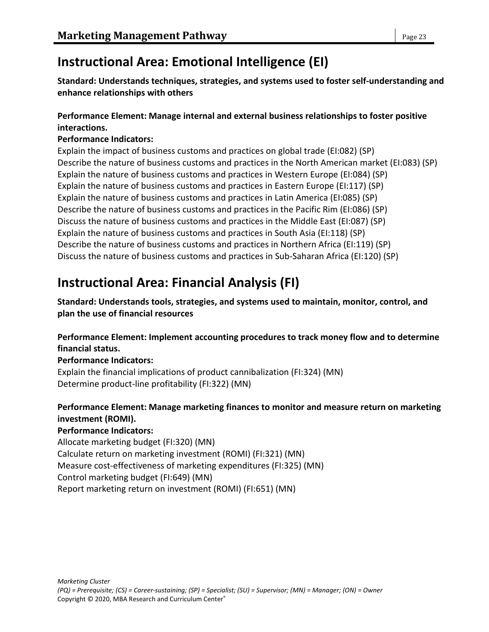# **Instructional Area: Emotional Intelligence (EI)**

**Standard: Understands techniques, strategies, and systems used to foster self-understanding and enhance relationships with others**

#### **Performance Element: Manage internal and external business relationships to foster positive interactions.**

#### **Performance Indicators:**

Explain the impact of business customs and practices on global trade (EI:082) (SP) Describe the nature of business customs and practices in the North American market (EI:083) (SP) Explain the nature of business customs and practices in Western Europe (EI:084) (SP) Explain the nature of business customs and practices in Eastern Europe (EI:117) (SP) Explain the nature of business customs and practices in Latin America (EI:085) (SP) Describe the nature of business customs and practices in the Pacific Rim (EI:086) (SP) Discuss the nature of business customs and practices in the Middle East (EI:087) (SP) Explain the nature of business customs and practices in South Asia (EI:118) (SP) Describe the nature of business customs and practices in Northern Africa (EI:119) (SP) Discuss the nature of business customs and practices in Sub-Saharan Africa (EI:120) (SP)

# **Instructional Area: Financial Analysis (FI)**

**Standard: Understands tools, strategies, and systems used to maintain, monitor, control, and plan the use of financial resources**

#### **Performance Element: Implement accounting procedures to track money flow and to determine financial status.**

**Performance Indicators:**

Explain the financial implications of product cannibalization (FI:324) (MN) Determine product-line profitability (FI:322) (MN)

# **Performance Element: Manage marketing finances to monitor and measure return on marketing investment (ROMI).**

**Performance Indicators:**

Allocate marketing budget (FI:320) (MN) Calculate return on marketing investment (ROMI) (FI:321) (MN) Measure cost-effectiveness of marketing expenditures (FI:325) (MN) Control marketing budget (FI:649) (MN) Report marketing return on investment (ROMI) (FI:651) (MN)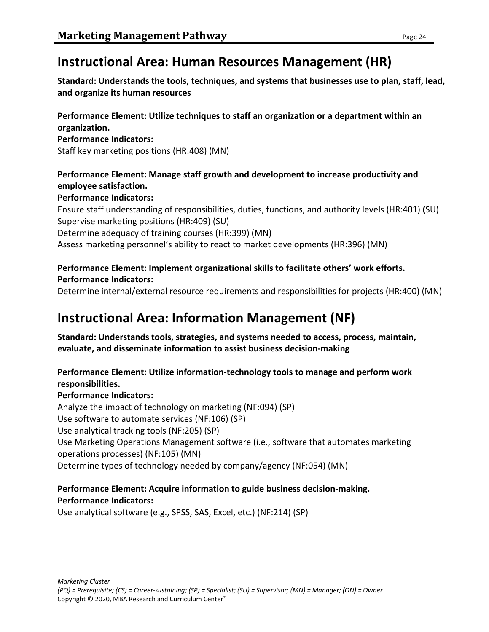# **Instructional Area: Human Resources Management (HR)**

**Standard: Understands the tools, techniques, and systems that businesses use to plan, staff, lead, and organize its human resources**

**Performance Element: Utilize techniques to staff an organization or a department within an organization.**

#### **Performance Indicators:**

Staff key marketing positions (HR:408) (MN)

# **Performance Element: Manage staff growth and development to increase productivity and employee satisfaction.**

#### **Performance Indicators:**

Ensure staff understanding of responsibilities, duties, functions, and authority levels (HR:401) (SU) Supervise marketing positions (HR:409) (SU)

Determine adequacy of training courses (HR:399) (MN)

Assess marketing personnel's ability to react to market developments (HR:396) (MN)

# **Performance Element: Implement organizational skills to facilitate others' work efforts. Performance Indicators:**

Determine internal/external resource requirements and responsibilities for projects (HR:400) (MN)

# **Instructional Area: Information Management (NF)**

**Standard: Understands tools, strategies, and systems needed to access, process, maintain, evaluate, and disseminate information to assist business decision-making**

### **Performance Element: Utilize information-technology tools to manage and perform work responsibilities.**

### **Performance Indicators:**

Analyze the impact of technology on marketing (NF:094) (SP) Use software to automate services (NF:106) (SP) Use analytical tracking tools (NF:205) (SP) Use Marketing Operations Management software (i.e., software that automates marketing operations processes) (NF:105) (MN) Determine types of technology needed by company/agency (NF:054) (MN)

#### **Performance Element: Acquire information to guide business decision-making. Performance Indicators:**

Use analytical software (e.g., SPSS, SAS, Excel, etc.) (NF:214) (SP)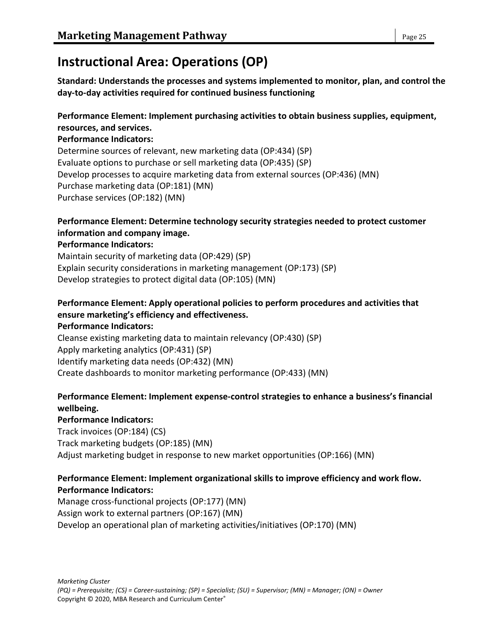# **Instructional Area: Operations (OP)**

**Standard: Understands the processes and systems implemented to monitor, plan, and control the day-to-day activities required for continued business functioning**

#### **Performance Element: Implement purchasing activities to obtain business supplies, equipment, resources, and services.**

#### **Performance Indicators:**

Determine sources of relevant, new marketing data (OP:434) (SP) Evaluate options to purchase or sell marketing data (OP:435) (SP) Develop processes to acquire marketing data from external sources (OP:436) (MN) Purchase marketing data (OP:181) (MN) Purchase services (OP:182) (MN)

# **Performance Element: Determine technology security strategies needed to protect customer information and company image.**

### **Performance Indicators:**

Maintain security of marketing data (OP:429) (SP) Explain security considerations in marketing management (OP:173) (SP) Develop strategies to protect digital data (OP:105) (MN)

#### **Performance Element: Apply operational policies to perform procedures and activities that ensure marketing's efficiency and effectiveness. Performance Indicators:**

Cleanse existing marketing data to maintain relevancy (OP:430) (SP) Apply marketing analytics (OP:431) (SP) Identify marketing data needs (OP:432) (MN) Create dashboards to monitor marketing performance (OP:433) (MN)

# **Performance Element: Implement expense-control strategies to enhance a business's financial wellbeing.**

**Performance Indicators:** Track invoices (OP:184) (CS) Track marketing budgets (OP:185) (MN) Adjust marketing budget in response to new market opportunities (OP:166) (MN)

#### **Performance Element: Implement organizational skills to improve efficiency and work flow. Performance Indicators:**

Manage cross-functional projects (OP:177) (MN) Assign work to external partners (OP:167) (MN) Develop an operational plan of marketing activities/initiatives (OP:170) (MN)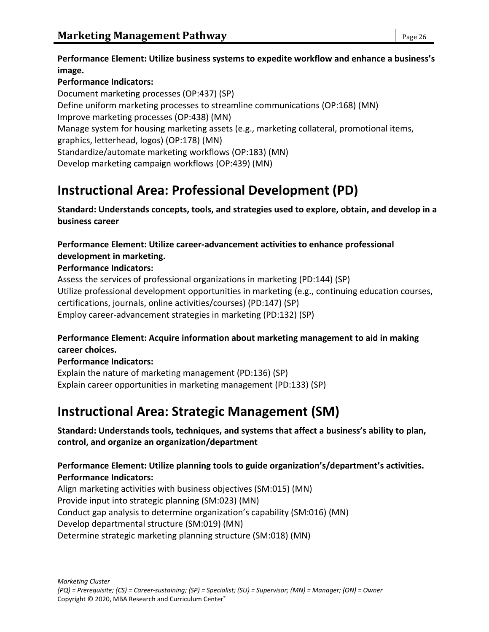### **Performance Indicators:**

Document marketing processes (OP:437) (SP) Define uniform marketing processes to streamline communications (OP:168) (MN) Improve marketing processes (OP:438) (MN) Manage system for housing marketing assets (e.g., marketing collateral, promotional items, graphics, letterhead, logos) (OP:178) (MN) Standardize/automate marketing workflows (OP:183) (MN) Develop marketing campaign workflows (OP:439) (MN)

# **Instructional Area: Professional Development (PD)**

**Standard: Understands concepts, tools, and strategies used to explore, obtain, and develop in a business career**

**Performance Element: Utilize career-advancement activities to enhance professional development in marketing.**

### **Performance Indicators:**

Assess the services of professional organizations in marketing (PD:144) (SP) Utilize professional development opportunities in marketing (e.g., continuing education courses, certifications, journals, online activities/courses) (PD:147) (SP) Employ career-advancement strategies in marketing (PD:132) (SP)

### **Performance Element: Acquire information about marketing management to aid in making career choices.**

### **Performance Indicators:**

Explain the nature of marketing management (PD:136) (SP) Explain career opportunities in marketing management (PD:133) (SP)

# **Instructional Area: Strategic Management (SM)**

**Standard: Understands tools, techniques, and systems that affect a business's ability to plan, control, and organize an organization/department**

# **Performance Element: Utilize planning tools to guide organization's/department's activities. Performance Indicators:**

Align marketing activities with business objectives (SM:015) (MN) Provide input into strategic planning (SM:023) (MN) Conduct gap analysis to determine organization's capability (SM:016) (MN) Develop departmental structure (SM:019) (MN) Determine strategic marketing planning structure (SM:018) (MN)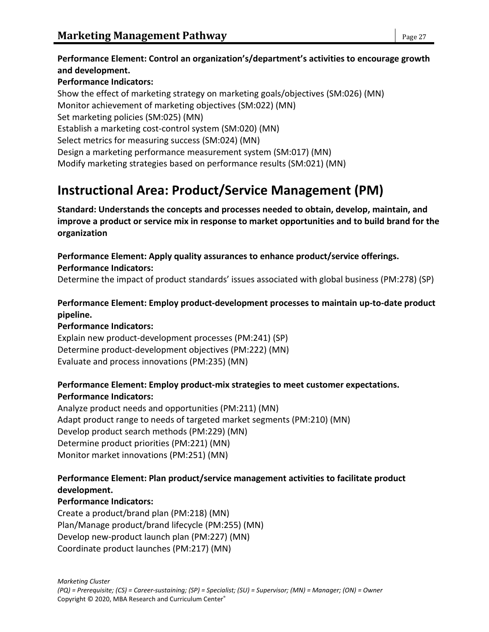# **Performance Element: Control an organization's/department's activities to encourage growth and development.**

#### **Performance Indicators:**

Show the effect of marketing strategy on marketing goals/objectives (SM:026) (MN) Monitor achievement of marketing objectives (SM:022) (MN) Set marketing policies (SM:025) (MN) Establish a marketing cost-control system (SM:020) (MN) Select metrics for measuring success (SM:024) (MN) Design a marketing performance measurement system (SM:017) (MN) Modify marketing strategies based on performance results (SM:021) (MN)

# **Instructional Area: Product/Service Management (PM)**

**Standard: Understands the concepts and processes needed to obtain, develop, maintain, and improve a product or service mix in response to market opportunities and to build brand for the organization**

**Performance Element: Apply quality assurances to enhance product/service offerings. Performance Indicators:**

Determine the impact of product standards' issues associated with global business (PM:278) (SP)

### **Performance Element: Employ product-development processes to maintain up-to-date product pipeline.**

#### **Performance Indicators:**

Explain new product-development processes (PM:241) (SP) Determine product-development objectives (PM:222) (MN) Evaluate and process innovations (PM:235) (MN)

#### **Performance Element: Employ product-mix strategies to meet customer expectations. Performance Indicators:**

Analyze product needs and opportunities (PM:211) (MN) Adapt product range to needs of targeted market segments (PM:210) (MN) Develop product search methods (PM:229) (MN) Determine product priorities (PM:221) (MN) Monitor market innovations (PM:251) (MN)

### **Performance Element: Plan product/service management activities to facilitate product development.**

#### **Performance Indicators:**

Create a product/brand plan (PM:218) (MN) Plan/Manage product/brand lifecycle (PM:255) (MN) Develop new-product launch plan (PM:227) (MN) Coordinate product launches (PM:217) (MN)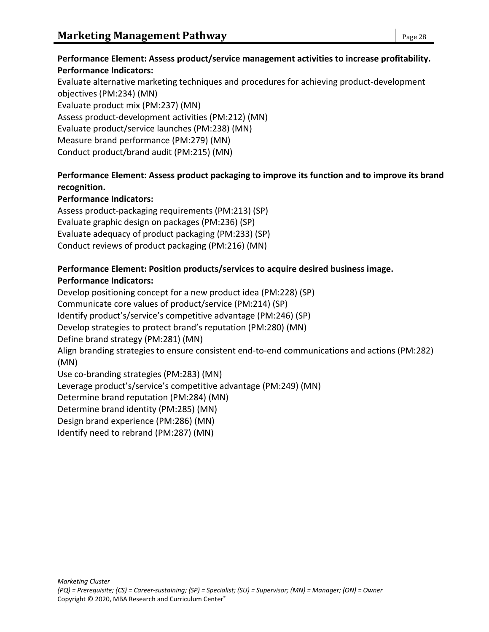Evaluate alternative marketing techniques and procedures for achieving product-development objectives (PM:234) (MN) Evaluate product mix (PM:237) (MN) Assess product-development activities (PM:212) (MN) Evaluate product/service launches (PM:238) (MN) Measure brand performance (PM:279) (MN) Conduct product/brand audit (PM:215) (MN)

# **Performance Element: Assess product packaging to improve its function and to improve its brand recognition.**

# **Performance Indicators:**

Assess product-packaging requirements (PM:213) (SP) Evaluate graphic design on packages (PM:236) (SP) Evaluate adequacy of product packaging (PM:233) (SP) Conduct reviews of product packaging (PM:216) (MN)

### **Performance Element: Position products/services to acquire desired business image. Performance Indicators:**

Develop positioning concept for a new product idea (PM:228) (SP) Communicate core values of product/service (PM:214) (SP) Identify product's/service's competitive advantage (PM:246) (SP) Develop strategies to protect brand's reputation (PM:280) (MN) Define brand strategy (PM:281) (MN) Align branding strategies to ensure consistent end-to-end communications and actions (PM:282) (MN) Use co-branding strategies (PM:283) (MN) Leverage product's/service's competitive advantage (PM:249) (MN) Determine brand reputation (PM:284) (MN) Determine brand identity (PM:285) (MN) Design brand experience (PM:286) (MN)

Identify need to rebrand (PM:287) (MN)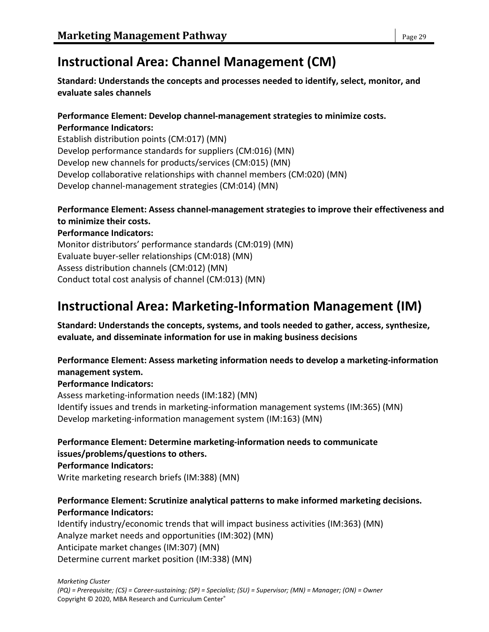# **Instructional Area: Channel Management (CM)**

**Standard: Understands the concepts and processes needed to identify, select, monitor, and evaluate sales channels**

#### **Performance Element: Develop channel-management strategies to minimize costs. Performance Indicators:**

Establish distribution points (CM:017) (MN) Develop performance standards for suppliers (CM:016) (MN) Develop new channels for products/services (CM:015) (MN) Develop collaborative relationships with channel members (CM:020) (MN) Develop channel-management strategies (CM:014) (MN)

# **Performance Element: Assess channel-management strategies to improve their effectiveness and to minimize their costs.**

**Performance Indicators:** Monitor distributors' performance standards (CM:019) (MN) Evaluate buyer-seller relationships (CM:018) (MN) Assess distribution channels (CM:012) (MN) Conduct total cost analysis of channel (CM:013) (MN)

# **Instructional Area: Marketing-Information Management (IM)**

**Standard: Understands the concepts, systems, and tools needed to gather, access, synthesize, evaluate, and disseminate information for use in making business decisions**

# **Performance Element: Assess marketing information needs to develop a marketing-information management system.**

### **Performance Indicators:**

Assess marketing-information needs (IM:182) (MN) Identify issues and trends in marketing-information management systems (IM:365) (MN) Develop marketing-information management system (IM:163) (MN)

**Performance Element: Determine marketing-information needs to communicate issues/problems/questions to others. Performance Indicators:**

Write marketing research briefs (IM:388) (MN)

### **Performance Element: Scrutinize analytical patterns to make informed marketing decisions. Performance Indicators:**

Identify industry/economic trends that will impact business activities (IM:363) (MN) Analyze market needs and opportunities (IM:302) (MN) Anticipate market changes (IM:307) (MN) Determine current market position (IM:338) (MN)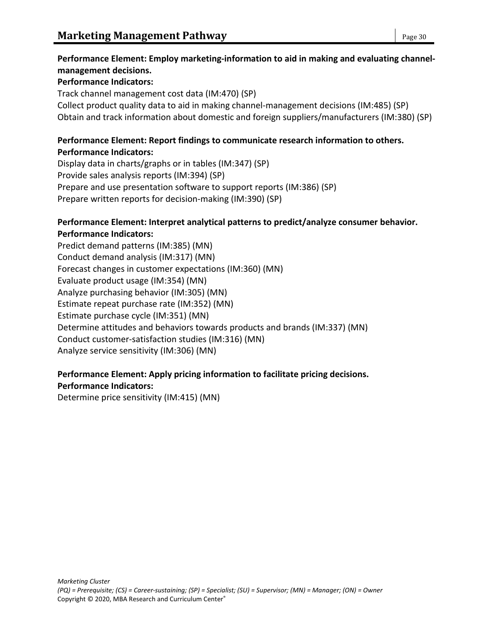# **Performance Element: Employ marketing-information to aid in making and evaluating channelmanagement decisions.**

#### **Performance Indicators:**

Track channel management cost data (IM:470) (SP) Collect product quality data to aid in making channel-management decisions (IM:485) (SP) Obtain and track information about domestic and foreign suppliers/manufacturers (IM:380) (SP)

#### **Performance Element: Report findings to communicate research information to others. Performance Indicators:**

Display data in charts/graphs or in tables (IM:347) (SP) Provide sales analysis reports (IM:394) (SP) Prepare and use presentation software to support reports (IM:386) (SP) Prepare written reports for decision-making (IM:390) (SP)

#### **Performance Element: Interpret analytical patterns to predict/analyze consumer behavior. Performance Indicators:**

Predict demand patterns (IM:385) (MN) Conduct demand analysis (IM:317) (MN) Forecast changes in customer expectations (IM:360) (MN) Evaluate product usage (IM:354) (MN) Analyze purchasing behavior (IM:305) (MN) Estimate repeat purchase rate (IM:352) (MN) Estimate purchase cycle (IM:351) (MN) Determine attitudes and behaviors towards products and brands (IM:337) (MN) Conduct customer-satisfaction studies (IM:316) (MN) Analyze service sensitivity (IM:306) (MN)

### **Performance Element: Apply pricing information to facilitate pricing decisions. Performance Indicators:**

Determine price sensitivity (IM:415) (MN)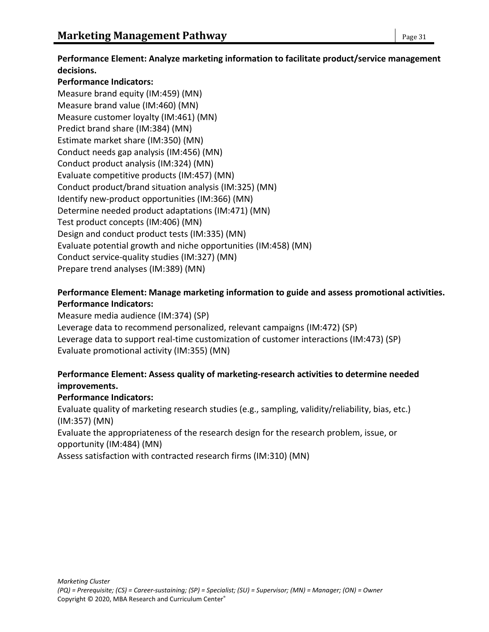**Performance Element: Analyze marketing information to facilitate product/service management decisions.**

#### **Performance Indicators:**

Measure brand equity (IM:459) (MN) Measure brand value (IM:460) (MN) Measure customer loyalty (IM:461) (MN) Predict brand share (IM:384) (MN) Estimate market share (IM:350) (MN) Conduct needs gap analysis (IM:456) (MN) Conduct product analysis (IM:324) (MN) Evaluate competitive products (IM:457) (MN) Conduct product/brand situation analysis (IM:325) (MN) Identify new-product opportunities (IM:366) (MN) Determine needed product adaptations (IM:471) (MN) Test product concepts (IM:406) (MN) Design and conduct product tests (IM:335) (MN) Evaluate potential growth and niche opportunities (IM:458) (MN) Conduct service-quality studies (IM:327) (MN) Prepare trend analyses (IM:389) (MN)

#### **Performance Element: Manage marketing information to guide and assess promotional activities. Performance Indicators:**

Measure media audience (IM:374) (SP) Leverage data to recommend personalized, relevant campaigns (IM:472) (SP) Leverage data to support real-time customization of customer interactions (IM:473) (SP) Evaluate promotional activity (IM:355) (MN)

### **Performance Element: Assess quality of marketing-research activities to determine needed improvements.**

#### **Performance Indicators:**

Evaluate quality of marketing research studies (e.g., sampling, validity/reliability, bias, etc.) (IM:357) (MN)

Evaluate the appropriateness of the research design for the research problem, issue, or opportunity (IM:484) (MN)

Assess satisfaction with contracted research firms (IM:310) (MN)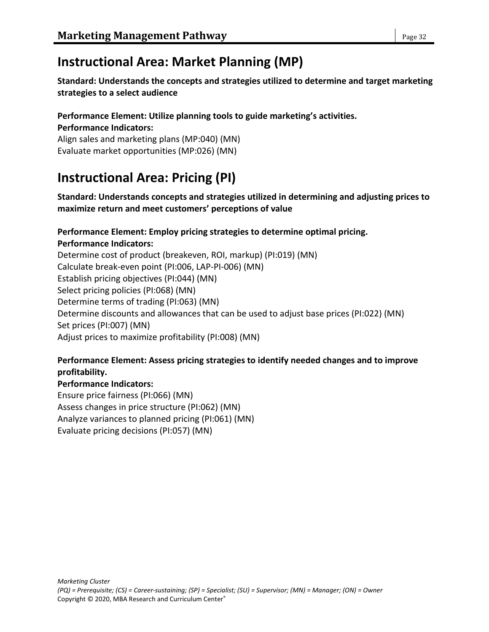# **Instructional Area: Market Planning (MP)**

**Standard: Understands the concepts and strategies utilized to determine and target marketing strategies to a select audience**

#### **Performance Element: Utilize planning tools to guide marketing's activities. Performance Indicators:**

Align sales and marketing plans (MP:040) (MN) Evaluate market opportunities (MP:026) (MN)

# **Instructional Area: Pricing (PI)**

**Standard: Understands concepts and strategies utilized in determining and adjusting prices to maximize return and meet customers' perceptions of value**

# **Performance Element: Employ pricing strategies to determine optimal pricing.**

**Performance Indicators:** Determine cost of product (breakeven, ROI, markup) (PI:019) (MN) Calculate break-even point (PI:006, LAP-PI-006) (MN) Establish pricing objectives (PI:044) (MN) Select pricing policies (PI:068) (MN) Determine terms of trading (PI:063) (MN) Determine discounts and allowances that can be used to adjust base prices (PI:022) (MN) Set prices (PI:007) (MN) Adjust prices to maximize profitability (PI:008) (MN)

### **Performance Element: Assess pricing strategies to identify needed changes and to improve profitability.**

#### **Performance Indicators:**

Ensure price fairness (PI:066) (MN) Assess changes in price structure (PI:062) (MN) Analyze variances to planned pricing (PI:061) (MN) Evaluate pricing decisions (PI:057) (MN)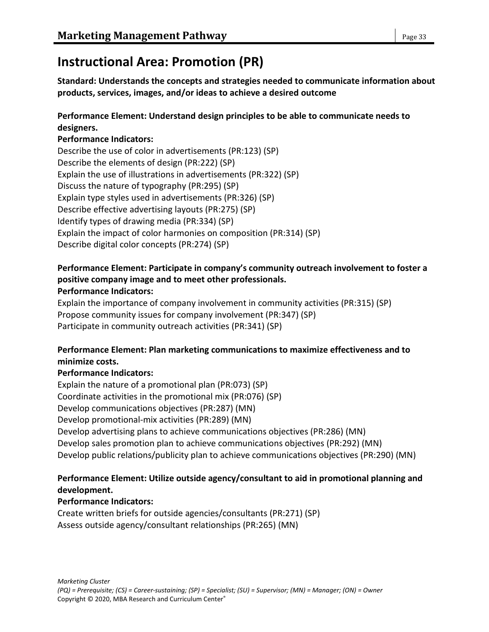# **Instructional Area: Promotion (PR)**

**Standard: Understands the concepts and strategies needed to communicate information about products, services, images, and/or ideas to achieve a desired outcome**

# **Performance Element: Understand design principles to be able to communicate needs to designers.**

#### **Performance Indicators:**

Describe the use of color in advertisements (PR:123) (SP) Describe the elements of design (PR:222) (SP) Explain the use of illustrations in advertisements (PR:322) (SP) Discuss the nature of typography (PR:295) (SP) Explain type styles used in advertisements (PR:326) (SP) Describe effective advertising layouts (PR:275) (SP) Identify types of drawing media (PR:334) (SP) Explain the impact of color harmonies on composition (PR:314) (SP) Describe digital color concepts (PR:274) (SP)

# **Performance Element: Participate in company's community outreach involvement to foster a positive company image and to meet other professionals.**

#### **Performance Indicators:**

Explain the importance of company involvement in community activities (PR:315) (SP) Propose community issues for company involvement (PR:347) (SP) Participate in community outreach activities (PR:341) (SP)

### **Performance Element: Plan marketing communications to maximize effectiveness and to minimize costs.**

### **Performance Indicators:**

Explain the nature of a promotional plan (PR:073) (SP) Coordinate activities in the promotional mix (PR:076) (SP) Develop communications objectives (PR:287) (MN) Develop promotional-mix activities (PR:289) (MN) Develop advertising plans to achieve communications objectives (PR:286) (MN) Develop sales promotion plan to achieve communications objectives (PR:292) (MN) Develop public relations/publicity plan to achieve communications objectives (PR:290) (MN)

### **Performance Element: Utilize outside agency/consultant to aid in promotional planning and development.**

### **Performance Indicators:**

Create written briefs for outside agencies/consultants (PR:271) (SP) Assess outside agency/consultant relationships (PR:265) (MN)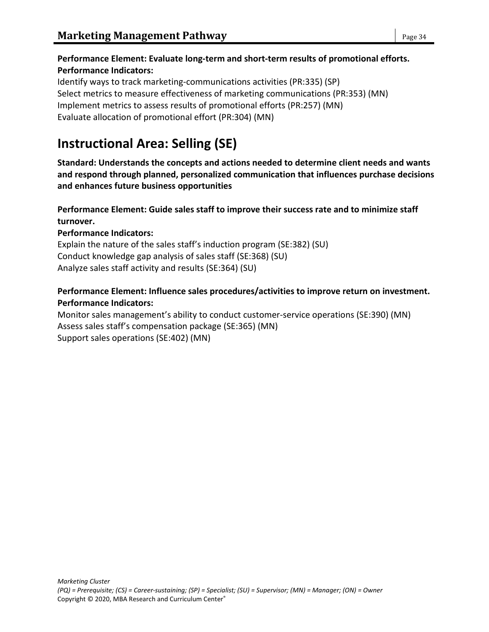# **Performance Element: Evaluate long-term and short-term results of promotional efforts. Performance Indicators:**

Identify ways to track marketing-communications activities (PR:335) (SP) Select metrics to measure effectiveness of marketing communications (PR:353) (MN) Implement metrics to assess results of promotional efforts (PR:257) (MN) Evaluate allocation of promotional effort (PR:304) (MN)

# **Instructional Area: Selling (SE)**

**Standard: Understands the concepts and actions needed to determine client needs and wants and respond through planned, personalized communication that influences purchase decisions and enhances future business opportunities**

# **Performance Element: Guide sales staff to improve their success rate and to minimize staff turnover.**

# **Performance Indicators:**

Explain the nature of the sales staff's induction program (SE:382) (SU) Conduct knowledge gap analysis of sales staff (SE:368) (SU) Analyze sales staff activity and results (SE:364) (SU)

# **Performance Element: Influence sales procedures/activities to improve return on investment. Performance Indicators:**

Monitor sales management's ability to conduct customer-service operations (SE:390) (MN) Assess sales staff's compensation package (SE:365) (MN) Support sales operations (SE:402) (MN)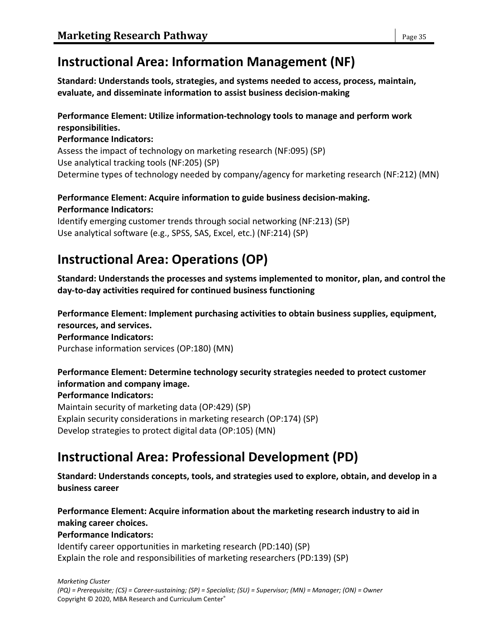# **Instructional Area: Information Management (NF)**

**Standard: Understands tools, strategies, and systems needed to access, process, maintain, evaluate, and disseminate information to assist business decision-making**

### **Performance Element: Utilize information-technology tools to manage and perform work responsibilities.**

#### **Performance Indicators:**

Assess the impact of technology on marketing research (NF:095) (SP) Use analytical tracking tools (NF:205) (SP) Determine types of technology needed by company/agency for marketing research (NF:212) (MN)

# **Performance Element: Acquire information to guide business decision-making. Performance Indicators:**

Identify emerging customer trends through social networking (NF:213) (SP) Use analytical software (e.g., SPSS, SAS, Excel, etc.) (NF:214) (SP)

# **Instructional Area: Operations (OP)**

**Standard: Understands the processes and systems implemented to monitor, plan, and control the day-to-day activities required for continued business functioning**

**Performance Element: Implement purchasing activities to obtain business supplies, equipment, resources, and services. Performance Indicators:** Purchase information services (OP:180) (MN)

# **Performance Element: Determine technology security strategies needed to protect customer information and company image.**

**Performance Indicators:**

Maintain security of marketing data (OP:429) (SP) Explain security considerations in marketing research (OP:174) (SP) Develop strategies to protect digital data (OP:105) (MN)

# **Instructional Area: Professional Development (PD)**

**Standard: Understands concepts, tools, and strategies used to explore, obtain, and develop in a business career**

**Performance Element: Acquire information about the marketing research industry to aid in making career choices.**

### **Performance Indicators:**

Identify career opportunities in marketing research (PD:140) (SP) Explain the role and responsibilities of marketing researchers (PD:139) (SP)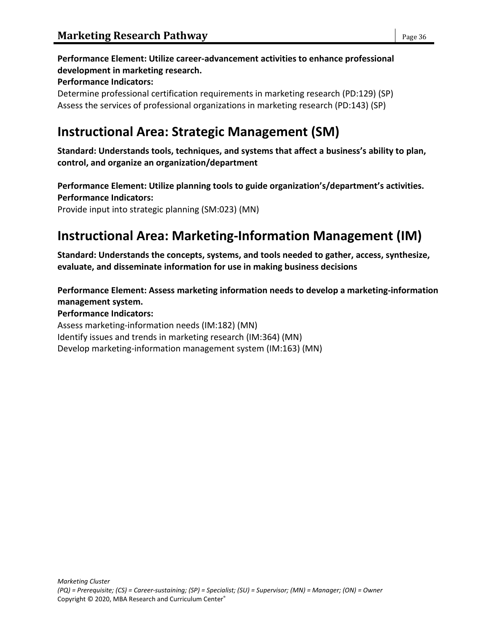# **Performance Element: Utilize career-advancement activities to enhance professional development in marketing research. Performance Indicators:**

Determine professional certification requirements in marketing research (PD:129) (SP) Assess the services of professional organizations in marketing research (PD:143) (SP)

# **Instructional Area: Strategic Management (SM)**

**Standard: Understands tools, techniques, and systems that affect a business's ability to plan, control, and organize an organization/department**

**Performance Element: Utilize planning tools to guide organization's/department's activities. Performance Indicators:**

Provide input into strategic planning (SM:023) (MN)

# **Instructional Area: Marketing-Information Management (IM)**

**Standard: Understands the concepts, systems, and tools needed to gather, access, synthesize, evaluate, and disseminate information for use in making business decisions**

**Performance Element: Assess marketing information needs to develop a marketing-information management system. Performance Indicators:** Assess marketing-information needs (IM:182) (MN) Identify issues and trends in marketing research (IM:364) (MN) Develop marketing-information management system (IM:163) (MN)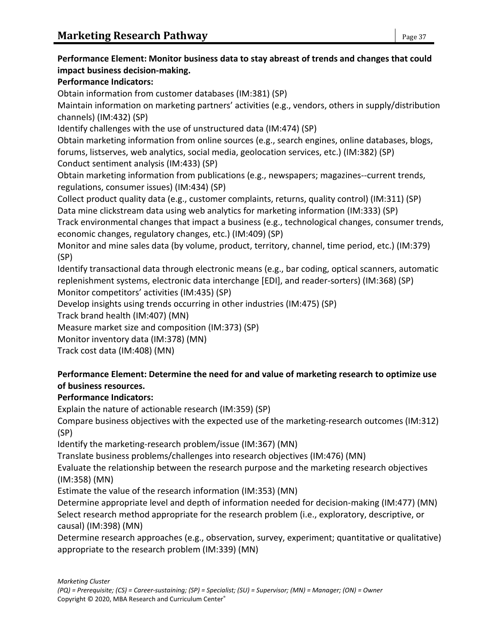# **Performance Element: Monitor business data to stay abreast of trends and changes that could impact business decision-making. Performance Indicators:** Obtain information from customer databases (IM:381) (SP) Maintain information on marketing partners' activities (e.g., vendors, others in supply/distribution channels) (IM:432) (SP) Identify challenges with the use of unstructured data (IM:474) (SP) Obtain marketing information from online sources (e.g., search engines, online databases, blogs, forums, listserves, web analytics, social media, geolocation services, etc.) (IM:382) (SP) Conduct sentiment analysis (IM:433) (SP) Obtain marketing information from publications (e.g., newspapers; magazines--current trends, regulations, consumer issues) (IM:434) (SP) Collect product quality data (e.g., customer complaints, returns, quality control) (IM:311) (SP) Data mine clickstream data using web analytics for marketing information (IM:333) (SP) Track environmental changes that impact a business (e.g., technological changes, consumer trends, economic changes, regulatory changes, etc.) (IM:409) (SP) Monitor and mine sales data (by volume, product, territory, channel, time period, etc.) (IM:379) (SP) Identify transactional data through electronic means (e.g., bar coding, optical scanners, automatic replenishment systems, electronic data interchange [EDI], and reader-sorters) (IM:368) (SP) Monitor competitors' activities (IM:435) (SP) Develop insights using trends occurring in other industries (IM:475) (SP) Track brand health (IM:407) (MN) Measure market size and composition (IM:373) (SP) Monitor inventory data (IM:378) (MN) Track cost data (IM:408) (MN) **Performance Element: Determine the need for and value of marketing research to optimize use of business resources. Performance Indicators:**

Explain the nature of actionable research (IM:359) (SP)

Compare business objectives with the expected use of the marketing-research outcomes (IM:312) (SP)

Identify the marketing-research problem/issue (IM:367) (MN)

Translate business problems/challenges into research objectives (IM:476) (MN)

Evaluate the relationship between the research purpose and the marketing research objectives (IM:358) (MN)

Estimate the value of the research information (IM:353) (MN)

Determine appropriate level and depth of information needed for decision-making (IM:477) (MN) Select research method appropriate for the research problem (i.e., exploratory, descriptive, or causal) (IM:398) (MN)

Determine research approaches (e.g., observation, survey, experiment; quantitative or qualitative) appropriate to the research problem (IM:339) (MN)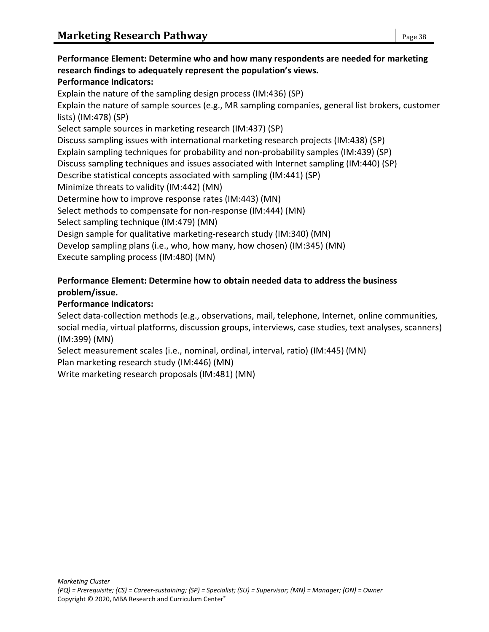# **Performance Element: Determine who and how many respondents are needed for marketing research findings to adequately represent the population's views. Performance Indicators:** Explain the nature of the sampling design process (IM:436) (SP) Explain the nature of sample sources (e.g., MR sampling companies, general list brokers, customer lists) (IM:478) (SP) Select sample sources in marketing research (IM:437) (SP) Discuss sampling issues with international marketing research projects (IM:438) (SP) Explain sampling techniques for probability and non-probability samples (IM:439) (SP) Discuss sampling techniques and issues associated with Internet sampling (IM:440) (SP) Describe statistical concepts associated with sampling (IM:441) (SP) Minimize threats to validity (IM:442) (MN) Determine how to improve response rates (IM:443) (MN) Select methods to compensate for non-response (IM:444) (MN) Select sampling technique (IM:479) (MN) Design sample for qualitative marketing-research study (IM:340) (MN) Develop sampling plans (i.e., who, how many, how chosen) (IM:345) (MN) Execute sampling process (IM:480) (MN)

# **Performance Element: Determine how to obtain needed data to address the business problem/issue.**

# **Performance Indicators:**

Select data-collection methods (e.g., observations, mail, telephone, Internet, online communities, social media, virtual platforms, discussion groups, interviews, case studies, text analyses, scanners) (IM:399) (MN)

Select measurement scales (i.e., nominal, ordinal, interval, ratio) (IM:445) (MN) Plan marketing research study (IM:446) (MN)

Write marketing research proposals (IM:481) (MN)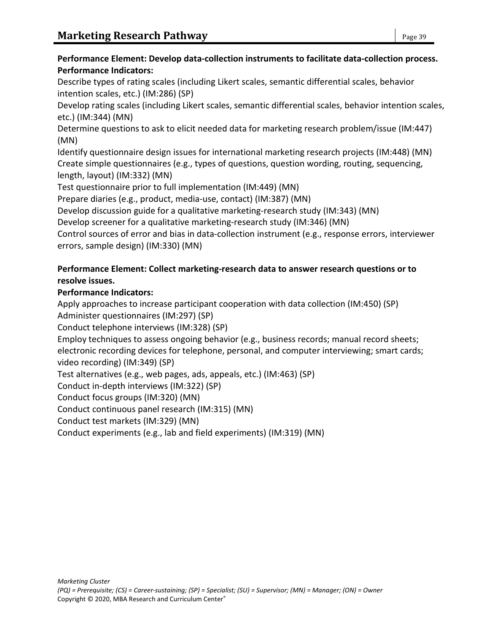### **Performance Element: Develop data-collection instruments to facilitate data-collection process. Performance Indicators:**

Describe types of rating scales (including Likert scales, semantic differential scales, behavior intention scales, etc.) (IM:286) (SP)

Develop rating scales (including Likert scales, semantic differential scales, behavior intention scales, etc.) (IM:344) (MN)

Determine questions to ask to elicit needed data for marketing research problem/issue (IM:447) (MN)

Identify questionnaire design issues for international marketing research projects (IM:448) (MN) Create simple questionnaires (e.g., types of questions, question wording, routing, sequencing, length, layout) (IM:332) (MN)

Test questionnaire prior to full implementation (IM:449) (MN)

Prepare diaries (e.g., product, media-use, contact) (IM:387) (MN)

Develop discussion guide for a qualitative marketing-research study (IM:343) (MN)

Develop screener for a qualitative marketing-research study (IM:346) (MN)

Control sources of error and bias in data-collection instrument (e.g., response errors, interviewer errors, sample design) (IM:330) (MN)

# **Performance Element: Collect marketing-research data to answer research questions or to resolve issues.**

### **Performance Indicators:**

Apply approaches to increase participant cooperation with data collection (IM:450) (SP) Administer questionnaires (IM:297) (SP)

Conduct telephone interviews (IM:328) (SP)

Employ techniques to assess ongoing behavior (e.g., business records; manual record sheets; electronic recording devices for telephone, personal, and computer interviewing; smart cards; video recording) (IM:349) (SP)

Test alternatives (e.g., web pages, ads, appeals, etc.) (IM:463) (SP)

Conduct in-depth interviews (IM:322) (SP)

Conduct focus groups (IM:320) (MN)

Conduct continuous panel research (IM:315) (MN)

Conduct test markets (IM:329) (MN)

Conduct experiments (e.g., lab and field experiments) (IM:319) (MN)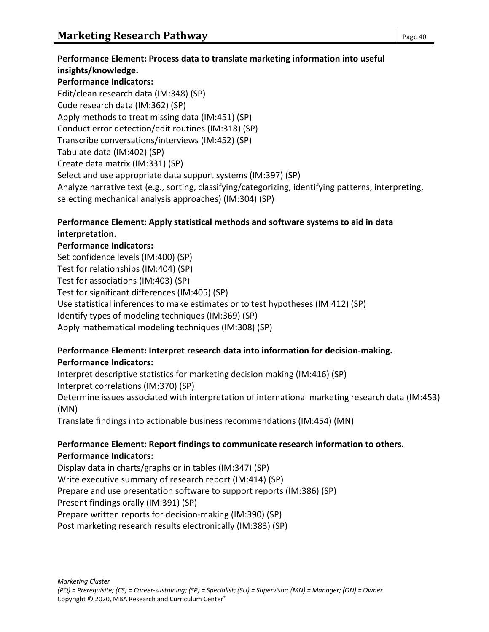**Performance Element: Process data to translate marketing information into useful insights/knowledge. Performance Indicators:** Edit/clean research data (IM:348) (SP) Code research data (IM:362) (SP) Apply methods to treat missing data (IM:451) (SP) Conduct error detection/edit routines (IM:318) (SP) Transcribe conversations/interviews (IM:452) (SP) Tabulate data (IM:402) (SP) Create data matrix (IM:331) (SP) Select and use appropriate data support systems (IM:397) (SP)

Analyze narrative text (e.g., sorting, classifying/categorizing, identifying patterns, interpreting, selecting mechanical analysis approaches) (IM:304) (SP)

# **Performance Element: Apply statistical methods and software systems to aid in data interpretation.**

### **Performance Indicators:**

Set confidence levels (IM:400) (SP) Test for relationships (IM:404) (SP) Test for associations (IM:403) (SP) Test for significant differences (IM:405) (SP) Use statistical inferences to make estimates or to test hypotheses (IM:412) (SP) Identify types of modeling techniques (IM:369) (SP) Apply mathematical modeling techniques (IM:308) (SP)

### **Performance Element: Interpret research data into information for decision-making. Performance Indicators:**

Interpret descriptive statistics for marketing decision making (IM:416) (SP) Interpret correlations (IM:370) (SP)

Determine issues associated with interpretation of international marketing research data (IM:453) (MN)

Translate findings into actionable business recommendations (IM:454) (MN)

### **Performance Element: Report findings to communicate research information to others. Performance Indicators:**

Display data in charts/graphs or in tables (IM:347) (SP) Write executive summary of research report (IM:414) (SP) Prepare and use presentation software to support reports (IM:386) (SP) Present findings orally (IM:391) (SP) Prepare written reports for decision-making (IM:390) (SP) Post marketing research results electronically (IM:383) (SP)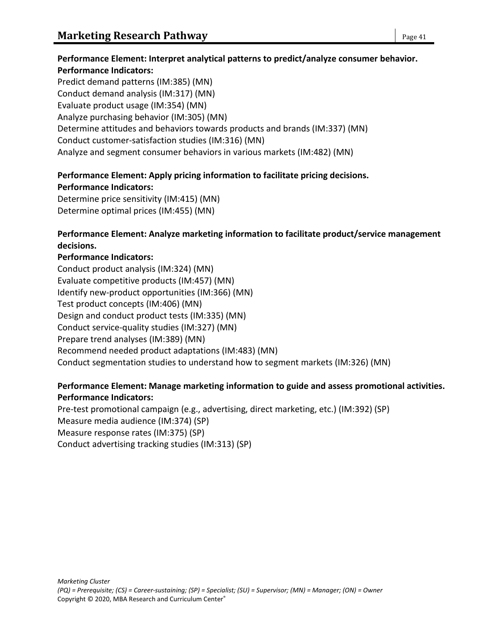# **Performance Element: Interpret analytical patterns to predict/analyze consumer behavior. Performance Indicators:**

Predict demand patterns (IM:385) (MN) Conduct demand analysis (IM:317) (MN) Evaluate product usage (IM:354) (MN) Analyze purchasing behavior (IM:305) (MN) Determine attitudes and behaviors towards products and brands (IM:337) (MN) Conduct customer-satisfaction studies (IM:316) (MN) Analyze and segment consumer behaviors in various markets (IM:482) (MN)

# **Performance Element: Apply pricing information to facilitate pricing decisions.**

**Performance Indicators:**

Determine price sensitivity (IM:415) (MN) Determine optimal prices (IM:455) (MN)

# **Performance Element: Analyze marketing information to facilitate product/service management decisions.**

# **Performance Indicators:**

Conduct product analysis (IM:324) (MN) Evaluate competitive products (IM:457) (MN) Identify new-product opportunities (IM:366) (MN) Test product concepts (IM:406) (MN) Design and conduct product tests (IM:335) (MN) Conduct service-quality studies (IM:327) (MN) Prepare trend analyses (IM:389) (MN) Recommend needed product adaptations (IM:483) (MN) Conduct segmentation studies to understand how to segment markets (IM:326) (MN)

### **Performance Element: Manage marketing information to guide and assess promotional activities. Performance Indicators:**

Pre-test promotional campaign (e.g., advertising, direct marketing, etc.) (IM:392) (SP) Measure media audience (IM:374) (SP) Measure response rates (IM:375) (SP) Conduct advertising tracking studies (IM:313) (SP)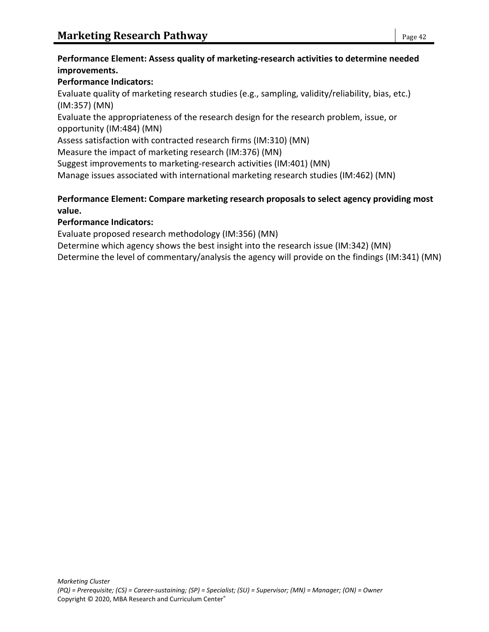#### **Performance Element: Assess quality of marketing-research activities to determine needed improvements.**

# **Performance Indicators:**

Evaluate quality of marketing research studies (e.g., sampling, validity/reliability, bias, etc.) (IM:357) (MN)

Evaluate the appropriateness of the research design for the research problem, issue, or opportunity (IM:484) (MN)

Assess satisfaction with contracted research firms (IM:310) (MN)

Measure the impact of marketing research (IM:376) (MN)

Suggest improvements to marketing-research activities (IM:401) (MN)

Manage issues associated with international marketing research studies (IM:462) (MN)

# **Performance Element: Compare marketing research proposals to select agency providing most value.**

# **Performance Indicators:**

Evaluate proposed research methodology (IM:356) (MN)

Determine which agency shows the best insight into the research issue (IM:342) (MN)

Determine the level of commentary/analysis the agency will provide on the findings (IM:341) (MN)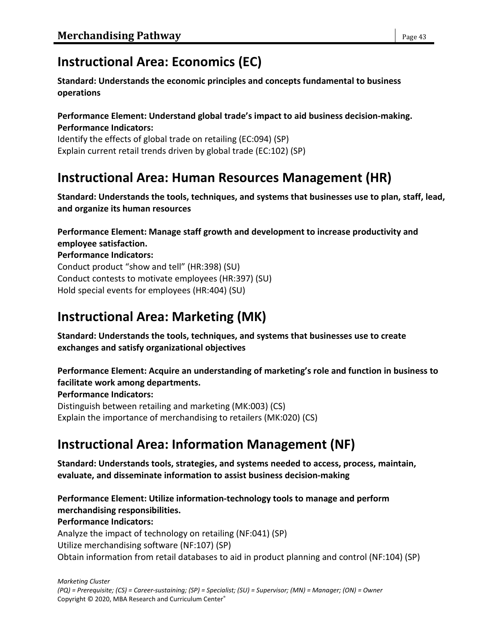# **Instructional Area: Economics (EC)**

**Standard: Understands the economic principles and concepts fundamental to business operations**

#### **Performance Element: Understand global trade's impact to aid business decision-making. Performance Indicators:**

Identify the effects of global trade on retailing (EC:094) (SP) Explain current retail trends driven by global trade (EC:102) (SP)

# **Instructional Area: Human Resources Management (HR)**

**Standard: Understands the tools, techniques, and systems that businesses use to plan, staff, lead, and organize its human resources**

**Performance Element: Manage staff growth and development to increase productivity and employee satisfaction.**

**Performance Indicators:** Conduct product "show and tell" (HR:398) (SU) Conduct contests to motivate employees (HR:397) (SU) Hold special events for employees (HR:404) (SU)

# **Instructional Area: Marketing (MK)**

**Standard: Understands the tools, techniques, and systems that businesses use to create exchanges and satisfy organizational objectives**

**Performance Element: Acquire an understanding of marketing's role and function in business to facilitate work among departments.**

### **Performance Indicators:**

Distinguish between retailing and marketing (MK:003) (CS) Explain the importance of merchandising to retailers (MK:020) (CS)

# **Instructional Area: Information Management (NF)**

**Standard: Understands tools, strategies, and systems needed to access, process, maintain, evaluate, and disseminate information to assist business decision-making**

**Performance Element: Utilize information-technology tools to manage and perform merchandising responsibilities. Performance Indicators:** Analyze the impact of technology on retailing (NF:041) (SP) Utilize merchandising software (NF:107) (SP)

Obtain information from retail databases to aid in product planning and control (NF:104) (SP)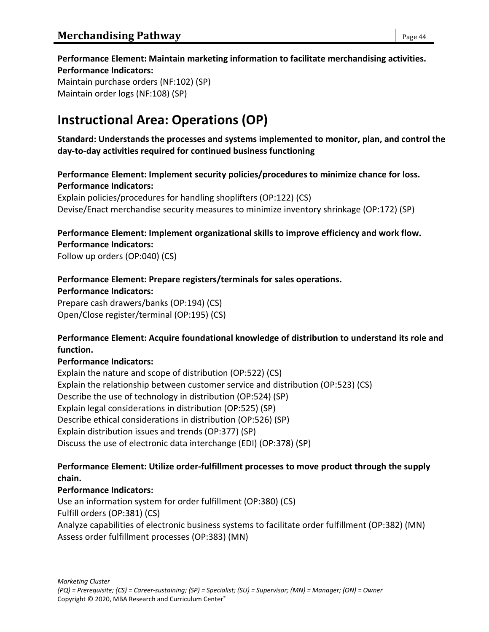**Performance Element: Maintain marketing information to facilitate merchandising activities. Performance Indicators:** Maintain purchase orders (NF:102) (SP) Maintain order logs (NF:108) (SP)

# **Instructional Area: Operations (OP)**

**Standard: Understands the processes and systems implemented to monitor, plan, and control the day-to-day activities required for continued business functioning**

**Performance Element: Implement security policies/procedures to minimize chance for loss. Performance Indicators:**

Explain policies/procedures for handling shoplifters (OP:122) (CS) Devise/Enact merchandise security measures to minimize inventory shrinkage (OP:172) (SP)

#### **Performance Element: Implement organizational skills to improve efficiency and work flow. Performance Indicators:**

Follow up orders (OP:040) (CS)

#### **Performance Element: Prepare registers/terminals for sales operations.**

**Performance Indicators:**

Prepare cash drawers/banks (OP:194) (CS) Open/Close register/terminal (OP:195) (CS)

#### **Performance Element: Acquire foundational knowledge of distribution to understand its role and function.**

#### **Performance Indicators:**

Explain the nature and scope of distribution (OP:522) (CS) Explain the relationship between customer service and distribution (OP:523) (CS) Describe the use of technology in distribution (OP:524) (SP) Explain legal considerations in distribution (OP:525) (SP) Describe ethical considerations in distribution (OP:526) (SP) Explain distribution issues and trends (OP:377) (SP) Discuss the use of electronic data interchange (EDI) (OP:378) (SP)

#### **Performance Element: Utilize order-fulfillment processes to move product through the supply chain.**

#### **Performance Indicators:**

Use an information system for order fulfillment (OP:380) (CS) Fulfill orders (OP:381) (CS) Analyze capabilities of electronic business systems to facilitate order fulfillment (OP:382) (MN) Assess order fulfillment processes (OP:383) (MN)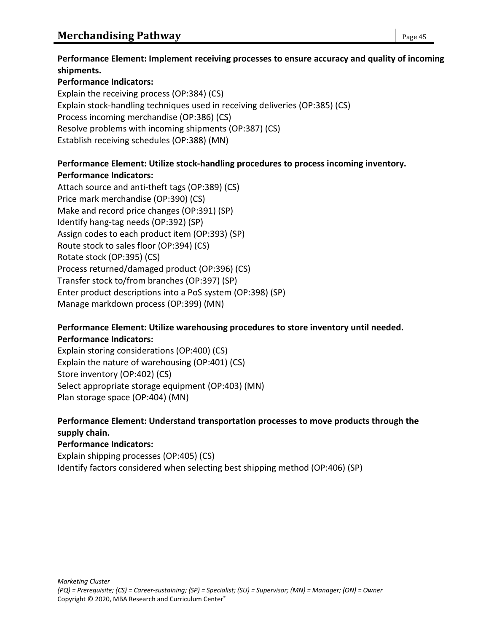# **Performance Indicators:**

Explain the receiving process (OP:384) (CS) Explain stock-handling techniques used in receiving deliveries (OP:385) (CS) Process incoming merchandise (OP:386) (CS) Resolve problems with incoming shipments (OP:387) (CS) Establish receiving schedules (OP:388) (MN)

# **Performance Element: Utilize stock-handling procedures to process incoming inventory. Performance Indicators:**

Attach source and anti-theft tags (OP:389) (CS) Price mark merchandise (OP:390) (CS) Make and record price changes (OP:391) (SP) Identify hang-tag needs (OP:392) (SP) Assign codes to each product item (OP:393) (SP) Route stock to sales floor (OP:394) (CS) Rotate stock (OP:395) (CS) Process returned/damaged product (OP:396) (CS) Transfer stock to/from branches (OP:397) (SP) Enter product descriptions into a PoS system (OP:398) (SP) Manage markdown process (OP:399) (MN)

# **Performance Element: Utilize warehousing procedures to store inventory until needed. Performance Indicators:**

Explain storing considerations (OP:400) (CS) Explain the nature of warehousing (OP:401) (CS) Store inventory (OP:402) (CS) Select appropriate storage equipment (OP:403) (MN) Plan storage space (OP:404) (MN)

# **Performance Element: Understand transportation processes to move products through the supply chain.**

**Performance Indicators:** Explain shipping processes (OP:405) (CS) Identify factors considered when selecting best shipping method (OP:406) (SP)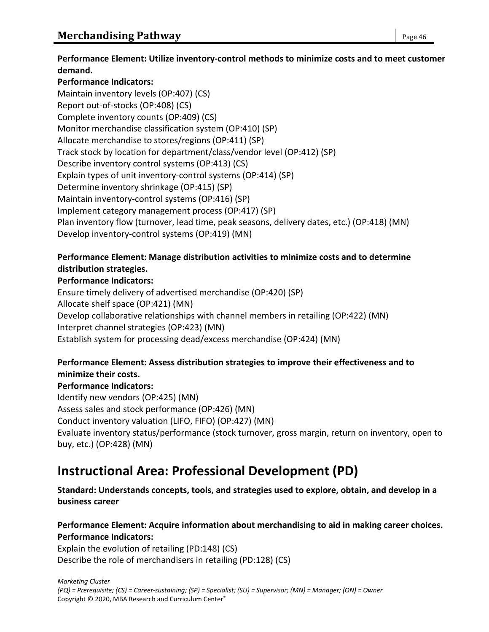**Performance Element: Utilize inventory-control methods to minimize costs and to meet customer demand.**

#### **Performance Indicators:**

Maintain inventory levels (OP:407) (CS) Report out-of-stocks (OP:408) (CS) Complete inventory counts (OP:409) (CS) Monitor merchandise classification system (OP:410) (SP) Allocate merchandise to stores/regions (OP:411) (SP) Track stock by location for department/class/vendor level (OP:412) (SP) Describe inventory control systems (OP:413) (CS) Explain types of unit inventory-control systems (OP:414) (SP) Determine inventory shrinkage (OP:415) (SP) Maintain inventory-control systems (OP:416) (SP) Implement category management process (OP:417) (SP) Plan inventory flow (turnover, lead time, peak seasons, delivery dates, etc.) (OP:418) (MN) Develop inventory-control systems (OP:419) (MN)

### **Performance Element: Manage distribution activities to minimize costs and to determine distribution strategies.**

#### **Performance Indicators:**

Ensure timely delivery of advertised merchandise (OP:420) (SP) Allocate shelf space (OP:421) (MN) Develop collaborative relationships with channel members in retailing (OP:422) (MN) Interpret channel strategies (OP:423) (MN) Establish system for processing dead/excess merchandise (OP:424) (MN)

#### **Performance Element: Assess distribution strategies to improve their effectiveness and to minimize their costs.**

#### **Performance Indicators:**

Identify new vendors (OP:425) (MN) Assess sales and stock performance (OP:426) (MN) Conduct inventory valuation (LIFO, FIFO) (OP:427) (MN) Evaluate inventory status/performance (stock turnover, gross margin, return on inventory, open to buy, etc.) (OP:428) (MN)

# **Instructional Area: Professional Development (PD)**

#### **Standard: Understands concepts, tools, and strategies used to explore, obtain, and develop in a business career**

# **Performance Element: Acquire information about merchandising to aid in making career choices. Performance Indicators:**

Explain the evolution of retailing (PD:148) (CS) Describe the role of merchandisers in retailing (PD:128) (CS)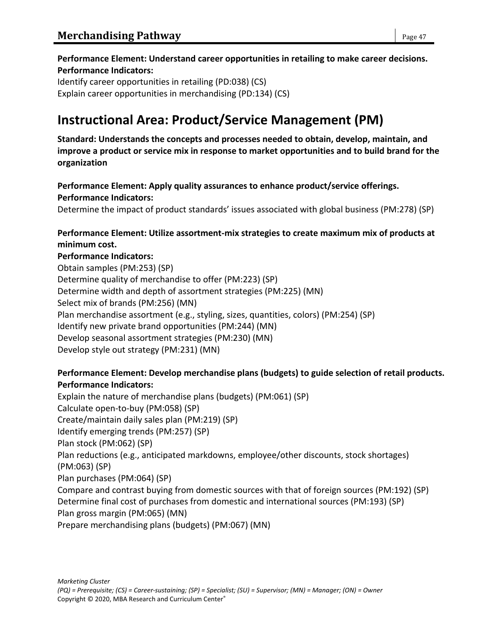# **Performance Element: Understand career opportunities in retailing to make career decisions. Performance Indicators:**

Identify career opportunities in retailing (PD:038) (CS) Explain career opportunities in merchandising (PD:134) (CS)

# **Instructional Area: Product/Service Management (PM)**

**Standard: Understands the concepts and processes needed to obtain, develop, maintain, and improve a product or service mix in response to market opportunities and to build brand for the organization**

**Performance Element: Apply quality assurances to enhance product/service offerings. Performance Indicators:**

Determine the impact of product standards' issues associated with global business (PM:278) (SP)

#### **Performance Element: Utilize assortment-mix strategies to create maximum mix of products at minimum cost.**

#### **Performance Indicators:**

Obtain samples (PM:253) (SP) Determine quality of merchandise to offer (PM:223) (SP) Determine width and depth of assortment strategies (PM:225) (MN) Select mix of brands (PM:256) (MN) Plan merchandise assortment (e.g., styling, sizes, quantities, colors) (PM:254) (SP) Identify new private brand opportunities (PM:244) (MN) Develop seasonal assortment strategies (PM:230) (MN) Develop style out strategy (PM:231) (MN)

### **Performance Element: Develop merchandise plans (budgets) to guide selection of retail products. Performance Indicators:**

Explain the nature of merchandise plans (budgets) (PM:061) (SP) Calculate open-to-buy (PM:058) (SP) Create/maintain daily sales plan (PM:219) (SP) Identify emerging trends (PM:257) (SP) Plan stock (PM:062) (SP) Plan reductions (e.g., anticipated markdowns, employee/other discounts, stock shortages) (PM:063) (SP) Plan purchases (PM:064) (SP) Compare and contrast buying from domestic sources with that of foreign sources (PM:192) (SP) Determine final cost of purchases from domestic and international sources (PM:193) (SP) Plan gross margin (PM:065) (MN) Prepare merchandising plans (budgets) (PM:067) (MN)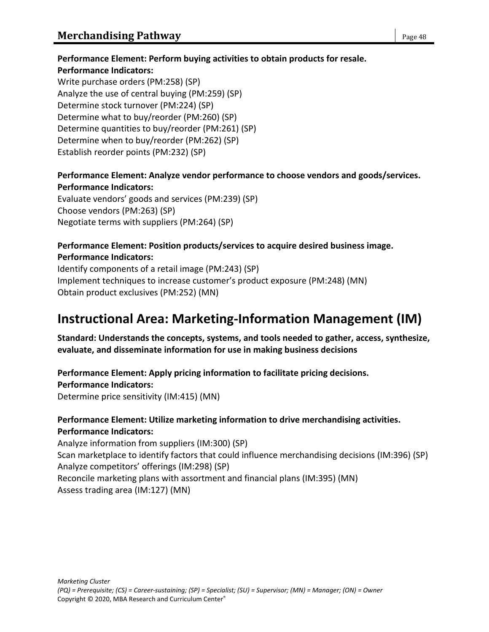# **Performance Element: Perform buying activities to obtain products for resale.**

#### **Performance Indicators:**

Write purchase orders (PM:258) (SP) Analyze the use of central buying (PM:259) (SP) Determine stock turnover (PM:224) (SP) Determine what to buy/reorder (PM:260) (SP) Determine quantities to buy/reorder (PM:261) (SP) Determine when to buy/reorder (PM:262) (SP) Establish reorder points (PM:232) (SP)

# **Performance Element: Analyze vendor performance to choose vendors and goods/services. Performance Indicators:**

Evaluate vendors' goods and services (PM:239) (SP) Choose vendors (PM:263) (SP) Negotiate terms with suppliers (PM:264) (SP)

### **Performance Element: Position products/services to acquire desired business image. Performance Indicators:**

Identify components of a retail image (PM:243) (SP) Implement techniques to increase customer's product exposure (PM:248) (MN) Obtain product exclusives (PM:252) (MN)

# **Instructional Area: Marketing-Information Management (IM)**

#### **Standard: Understands the concepts, systems, and tools needed to gather, access, synthesize, evaluate, and disseminate information for use in making business decisions**

**Performance Element: Apply pricing information to facilitate pricing decisions. Performance Indicators:** Determine price sensitivity (IM:415) (MN)

### **Performance Element: Utilize marketing information to drive merchandising activities. Performance Indicators:**

Analyze information from suppliers (IM:300) (SP) Scan marketplace to identify factors that could influence merchandising decisions (IM:396) (SP) Analyze competitors' offerings (IM:298) (SP) Reconcile marketing plans with assortment and financial plans (IM:395) (MN) Assess trading area (IM:127) (MN)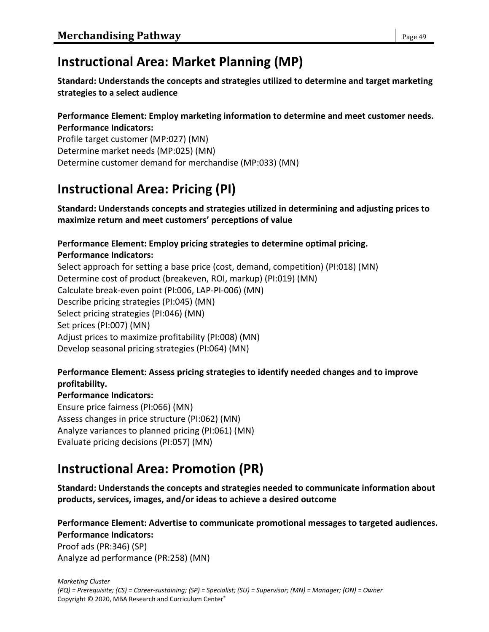# **Instructional Area: Market Planning (MP)**

**Standard: Understands the concepts and strategies utilized to determine and target marketing strategies to a select audience**

#### **Performance Element: Employ marketing information to determine and meet customer needs. Performance Indicators:**

Profile target customer (MP:027) (MN) Determine market needs (MP:025) (MN) Determine customer demand for merchandise (MP:033) (MN)

# **Instructional Area: Pricing (PI)**

**Standard: Understands concepts and strategies utilized in determining and adjusting prices to maximize return and meet customers' perceptions of value**

# **Performance Element: Employ pricing strategies to determine optimal pricing.**

**Performance Indicators:** Select approach for setting a base price (cost, demand, competition) (PI:018) (MN) Determine cost of product (breakeven, ROI, markup) (PI:019) (MN) Calculate break-even point (PI:006, LAP-PI-006) (MN) Describe pricing strategies (PI:045) (MN) Select pricing strategies (PI:046) (MN) Set prices (PI:007) (MN) Adjust prices to maximize profitability (PI:008) (MN) Develop seasonal pricing strategies (PI:064) (MN)

# **Performance Element: Assess pricing strategies to identify needed changes and to improve profitability.**

### **Performance Indicators:**

Ensure price fairness (PI:066) (MN) Assess changes in price structure (PI:062) (MN) Analyze variances to planned pricing (PI:061) (MN) Evaluate pricing decisions (PI:057) (MN)

# **Instructional Area: Promotion (PR)**

**Standard: Understands the concepts and strategies needed to communicate information about products, services, images, and/or ideas to achieve a desired outcome**

**Performance Element: Advertise to communicate promotional messages to targeted audiences. Performance Indicators:**

Proof ads (PR:346) (SP) Analyze ad performance (PR:258) (MN)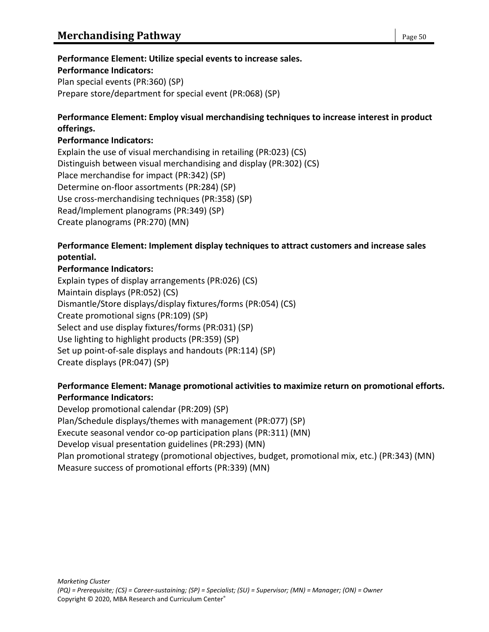### **Performance Element: Utilize special events to increase sales.**

#### **Performance Indicators:**

Plan special events (PR:360) (SP) Prepare store/department for special event (PR:068) (SP)

#### **Performance Element: Employ visual merchandising techniques to increase interest in product offerings.**

#### **Performance Indicators:**

Explain the use of visual merchandising in retailing (PR:023) (CS) Distinguish between visual merchandising and display (PR:302) (CS) Place merchandise for impact (PR:342) (SP) Determine on-floor assortments (PR:284) (SP) Use cross-merchandising techniques (PR:358) (SP) Read/Implement planograms (PR:349) (SP) Create planograms (PR:270) (MN)

#### **Performance Element: Implement display techniques to attract customers and increase sales potential.**

#### **Performance Indicators:**

Explain types of display arrangements (PR:026) (CS) Maintain displays (PR:052) (CS) Dismantle/Store displays/display fixtures/forms (PR:054) (CS) Create promotional signs (PR:109) (SP) Select and use display fixtures/forms (PR:031) (SP) Use lighting to highlight products (PR:359) (SP) Set up point-of-sale displays and handouts (PR:114) (SP) Create displays (PR:047) (SP)

#### **Performance Element: Manage promotional activities to maximize return on promotional efforts. Performance Indicators:**

Develop promotional calendar (PR:209) (SP) Plan/Schedule displays/themes with management (PR:077) (SP) Execute seasonal vendor co-op participation plans (PR:311) (MN) Develop visual presentation guidelines (PR:293) (MN) Plan promotional strategy (promotional objectives, budget, promotional mix, etc.) (PR:343) (MN) Measure success of promotional efforts (PR:339) (MN)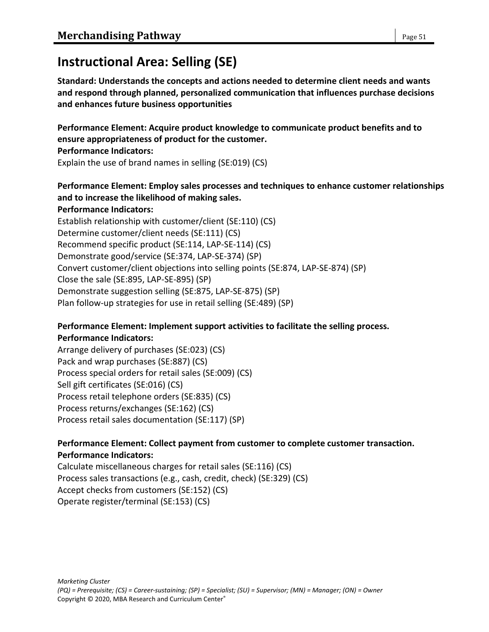# **Instructional Area: Selling (SE)**

**Standard: Understands the concepts and actions needed to determine client needs and wants and respond through planned, personalized communication that influences purchase decisions and enhances future business opportunities**

**Performance Element: Acquire product knowledge to communicate product benefits and to ensure appropriateness of product for the customer. Performance Indicators:**

Explain the use of brand names in selling (SE:019) (CS)

#### **Performance Element: Employ sales processes and techniques to enhance customer relationships and to increase the likelihood of making sales. Performance Indicators:**

Establish relationship with customer/client (SE:110) (CS) Determine customer/client needs (SE:111) (CS) Recommend specific product (SE:114, LAP-SE-114) (CS) Demonstrate good/service (SE:374, LAP-SE-374) (SP) Convert customer/client objections into selling points (SE:874, LAP-SE-874) (SP) Close the sale (SE:895, LAP-SE-895) (SP) Demonstrate suggestion selling (SE:875, LAP-SE-875) (SP) Plan follow-up strategies for use in retail selling (SE:489) (SP)

#### **Performance Element: Implement support activities to facilitate the selling process. Performance Indicators:**

Arrange delivery of purchases (SE:023) (CS) Pack and wrap purchases (SE:887) (CS) Process special orders for retail sales (SE:009) (CS) Sell gift certificates (SE:016) (CS) Process retail telephone orders (SE:835) (CS) Process returns/exchanges (SE:162) (CS) Process retail sales documentation (SE:117) (SP)

# **Performance Element: Collect payment from customer to complete customer transaction. Performance Indicators:**

Calculate miscellaneous charges for retail sales (SE:116) (CS) Process sales transactions (e.g., cash, credit, check) (SE:329) (CS) Accept checks from customers (SE:152) (CS) Operate register/terminal (SE:153) (CS)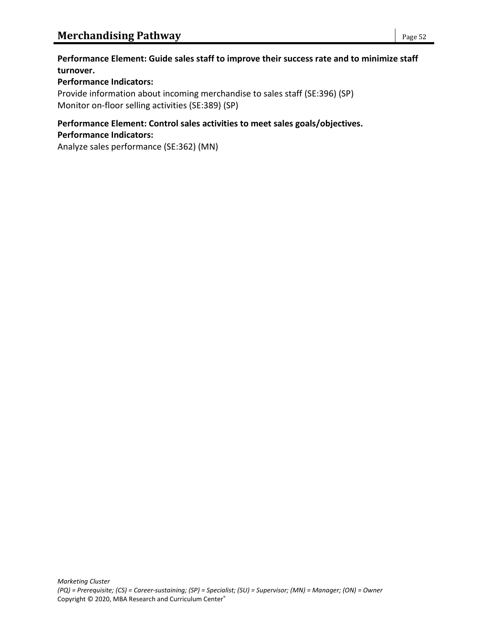#### **Performance Element: Guide sales staff to improve their success rate and to minimize staff turnover.**

#### **Performance Indicators:**

Provide information about incoming merchandise to sales staff (SE:396) (SP) Monitor on-floor selling activities (SE:389) (SP)

### **Performance Element: Control sales activities to meet sales goals/objectives. Performance Indicators:**

Analyze sales performance (SE:362) (MN)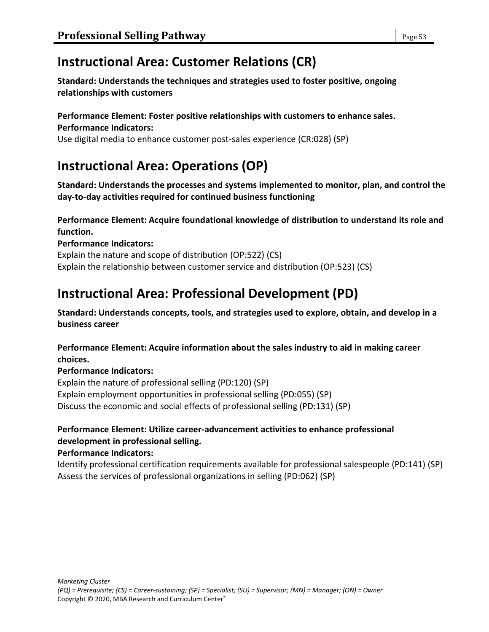# **Instructional Area: Customer Relations (CR)**

**Standard: Understands the techniques and strategies used to foster positive, ongoing relationships with customers**

#### **Performance Element: Foster positive relationships with customers to enhance sales. Performance Indicators:**

Use digital media to enhance customer post-sales experience (CR:028) (SP)

# **Instructional Area: Operations (OP)**

**Standard: Understands the processes and systems implemented to monitor, plan, and control the day-to-day activities required for continued business functioning**

#### **Performance Element: Acquire foundational knowledge of distribution to understand its role and function.**

#### **Performance Indicators:**

Explain the nature and scope of distribution (OP:522) (CS) Explain the relationship between customer service and distribution (OP:523) (CS)

# **Instructional Area: Professional Development (PD)**

**Standard: Understands concepts, tools, and strategies used to explore, obtain, and develop in a business career**

#### **Performance Element: Acquire information about the sales industry to aid in making career choices.**

### **Performance Indicators:**

Explain the nature of professional selling (PD:120) (SP) Explain employment opportunities in professional selling (PD:055) (SP) Discuss the economic and social effects of professional selling (PD:131) (SP)

# **Performance Element: Utilize career-advancement activities to enhance professional development in professional selling.**

### **Performance Indicators:**

Identify professional certification requirements available for professional salespeople (PD:141) (SP) Assess the services of professional organizations in selling (PD:062) (SP)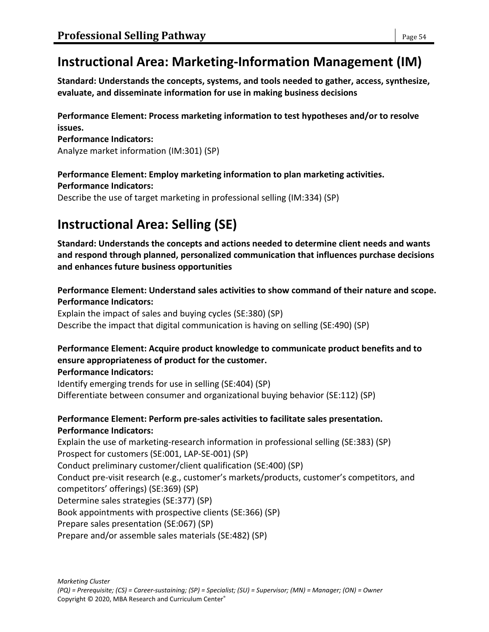# **Instructional Area: Marketing-Information Management (IM)**

**Standard: Understands the concepts, systems, and tools needed to gather, access, synthesize, evaluate, and disseminate information for use in making business decisions**

#### **Performance Element: Process marketing information to test hypotheses and/or to resolve issues.**

**Performance Indicators:** Analyze market information (IM:301) (SP)

# **Performance Element: Employ marketing information to plan marketing activities.**

#### **Performance Indicators:**

Describe the use of target marketing in professional selling (IM:334) (SP)

# **Instructional Area: Selling (SE)**

**Standard: Understands the concepts and actions needed to determine client needs and wants and respond through planned, personalized communication that influences purchase decisions and enhances future business opportunities**

**Performance Element: Understand sales activities to show command of their nature and scope. Performance Indicators:**

Explain the impact of sales and buying cycles (SE:380) (SP) Describe the impact that digital communication is having on selling (SE:490) (SP)

# **Performance Element: Acquire product knowledge to communicate product benefits and to ensure appropriateness of product for the customer.**

#### **Performance Indicators:**

Identify emerging trends for use in selling (SE:404) (SP) Differentiate between consumer and organizational buying behavior (SE:112) (SP)

### **Performance Element: Perform pre-sales activities to facilitate sales presentation. Performance Indicators:**

Explain the use of marketing-research information in professional selling (SE:383) (SP) Prospect for customers (SE:001, LAP-SE-001) (SP) Conduct preliminary customer/client qualification (SE:400) (SP) Conduct pre-visit research (e.g., customer's markets/products, customer's competitors, and competitors' offerings) (SE:369) (SP) Determine sales strategies (SE:377) (SP) Book appointments with prospective clients (SE:366) (SP) Prepare sales presentation (SE:067) (SP) Prepare and/or assemble sales materials (SE:482) (SP)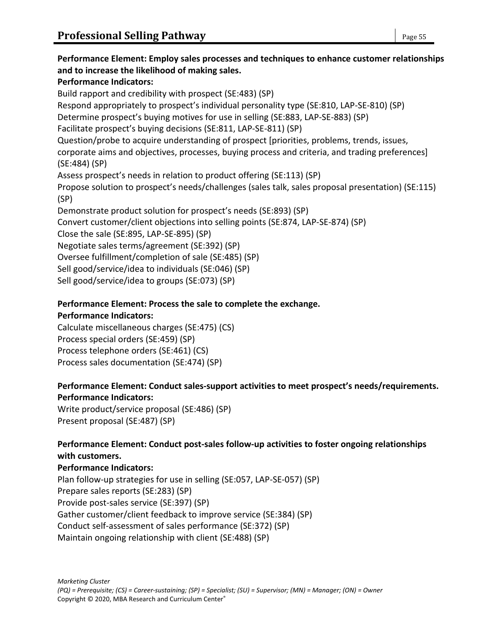**Performance Element: Employ sales processes and techniques to enhance customer relationships and to increase the likelihood of making sales. Performance Indicators:** Build rapport and credibility with prospect (SE:483) (SP) Respond appropriately to prospect's individual personality type (SE:810, LAP-SE-810) (SP) Determine prospect's buying motives for use in selling (SE:883, LAP-SE-883) (SP) Facilitate prospect's buying decisions (SE:811, LAP-SE-811) (SP) Question/probe to acquire understanding of prospect [priorities, problems, trends, issues, corporate aims and objectives, processes, buying process and criteria, and trading preferences] (SE:484) (SP) Assess prospect's needs in relation to product offering (SE:113) (SP) Propose solution to prospect's needs/challenges (sales talk, sales proposal presentation) (SE:115) (SP) Demonstrate product solution for prospect's needs (SE:893) (SP) Convert customer/client objections into selling points (SE:874, LAP-SE-874) (SP) Close the sale (SE:895, LAP-SE-895) (SP) Negotiate sales terms/agreement (SE:392) (SP) Oversee fulfillment/completion of sale (SE:485) (SP) Sell good/service/idea to individuals (SE:046) (SP) Sell good/service/idea to groups (SE:073) (SP)

#### **Performance Element: Process the sale to complete the exchange.**

#### **Performance Indicators:**

Calculate miscellaneous charges (SE:475) (CS) Process special orders (SE:459) (SP) Process telephone orders (SE:461) (CS) Process sales documentation (SE:474) (SP)

### **Performance Element: Conduct sales-support activities to meet prospect's needs/requirements. Performance Indicators:**

Write product/service proposal (SE:486) (SP) Present proposal (SE:487) (SP)

#### **Performance Element: Conduct post-sales follow-up activities to foster ongoing relationships with customers.**

#### **Performance Indicators:**

Plan follow-up strategies for use in selling (SE:057, LAP-SE-057) (SP) Prepare sales reports (SE:283) (SP) Provide post-sales service (SE:397) (SP) Gather customer/client feedback to improve service (SE:384) (SP) Conduct self-assessment of sales performance (SE:372) (SP) Maintain ongoing relationship with client (SE:488) (SP)